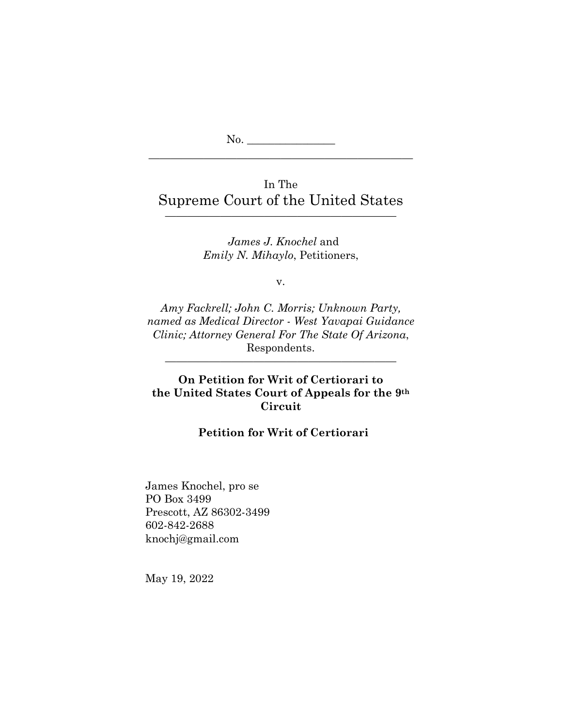No. \_\_\_\_\_\_\_\_\_\_\_\_\_\_\_\_

# In The Supreme Court of the United States

—————————————————————

————————————————————————

*James J. Knochel* and *Emily N. Mihaylo*, Petitioners,

v.

*Amy Fackrell; John C. Morris; Unknown Party, named as Medical Director - West Yavapai Guidance Clinic; Attorney General For The State Of Arizona*, Respondents.

# **On Petition for Writ of Certiorari to the United States Court of Appeals for the 9th Circuit**

—————————————————————

## **Petition for Writ of Certiorari**

James Knochel, pro se PO Box 3499 Prescott, AZ 86302-3499 602-842-2688 [knochj@gmail.com](mailto:knochj@gmail.com) 

May 19, 2022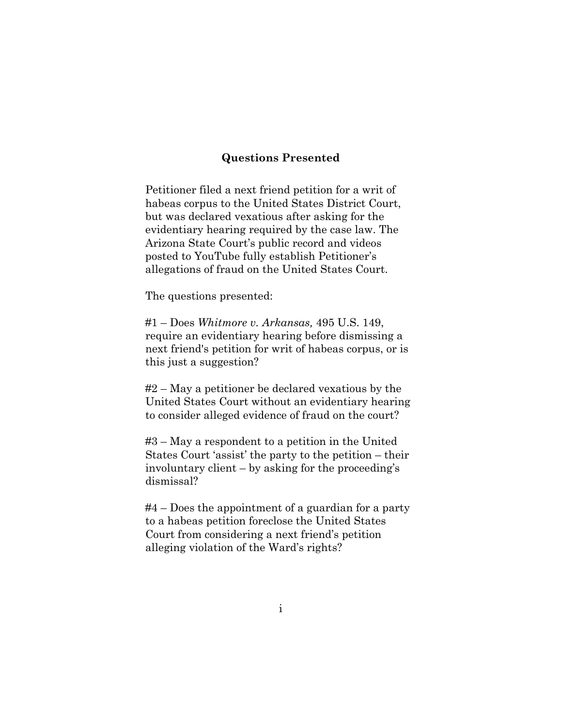## **Questions Presented**

<span id="page-1-0"></span>Petitioner filed a next friend petition for a writ of habeas corpus to the United States District Court, but was declared vexatious after asking for the evidentiary hearing required by the case law. The Arizona State Court's public record and videos posted to YouTube fully establish Petitioner's allegations of fraud on the United States Court.

The questions presented:

#1 – Does *Whitmore v. Arkansas,* 495 U.S. 149, require an evidentiary hearing before dismissing a next friend's petition for writ of habeas corpus, or is this just a suggestion?

#2 – May a petitioner be declared vexatious by the United States Court without an evidentiary hearing to consider alleged evidence of fraud on the court?

#3 – May a respondent to a petition in the United States Court 'assist' the party to the petition – their involuntary client – by asking for the proceeding's dismissal?

#4 – Does the appointment of a guardian for a party to a habeas petition foreclose the United States Court from considering a next friend's petition alleging violation of the Ward's rights?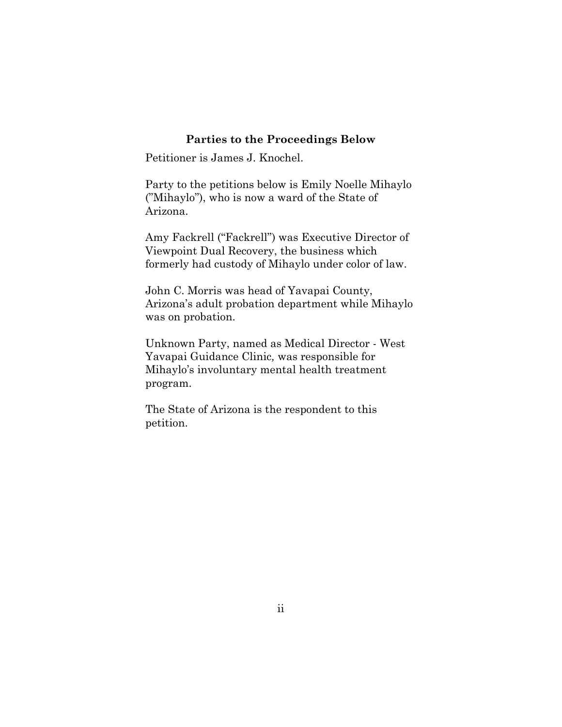## **Parties to the Proceedings Below**

<span id="page-2-0"></span>Petitioner is James J. Knochel.

Party to the petitions below is Emily Noelle Mihaylo ("Mihaylo"), who is now a ward of the State of Arizona.

Amy Fackrell ("Fackrell") was Executive Director of Viewpoint Dual Recovery, the business which formerly had custody of Mihaylo under color of law.

John C. Morris was head of Yavapai County, Arizona's adult probation department while Mihaylo was on probation.

Unknown Party, named as Medical Director - West Yavapai Guidance Clinic*,* was responsible for Mihaylo's involuntary mental health treatment program.

<span id="page-2-1"></span>The State of Arizona is the respondent to this petition.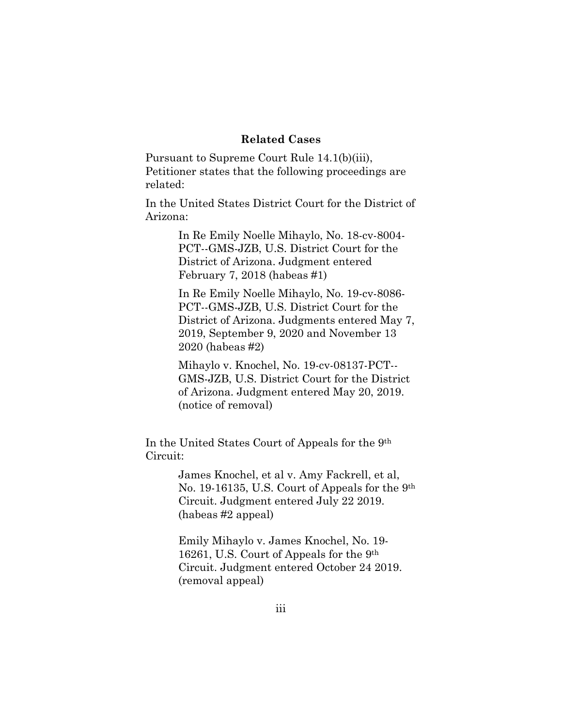### **Related Cases**

Pursuant to Supreme Court Rule 14.1(b)(iii), Petitioner states that the following proceedings are related:

In the United States District Court for the District of Arizona:

> In Re Emily Noelle Mihaylo, No. 18-cv-8004- PCT--GMS-JZB, U.S. District Court for the District of Arizona. Judgment entered February 7, 2018 (habeas #1)

In Re Emily Noelle Mihaylo, No. 19-cv-8086- PCT--GMS-JZB, U.S. District Court for the District of Arizona. Judgments entered May 7, 2019, September 9, 2020 and November 13 2020 (habeas #2)

Mihaylo v. Knochel, No. 19-cv-08137-PCT-- GMS-JZB, U.S. District Court for the District of Arizona. Judgment entered May 20, 2019. (notice of removal)

In the United States Court of Appeals for the 9th Circuit:

> James Knochel, et al v. Amy Fackrell, et al, No. 19-16135, U.S. Court of Appeals for the 9th Circuit. Judgment entered July 22 2019. (habeas #2 appeal)

Emily Mihaylo v. James Knochel, No. 19- 16261, U.S. Court of Appeals for the 9th Circuit. Judgment entered October 24 2019. (removal appeal)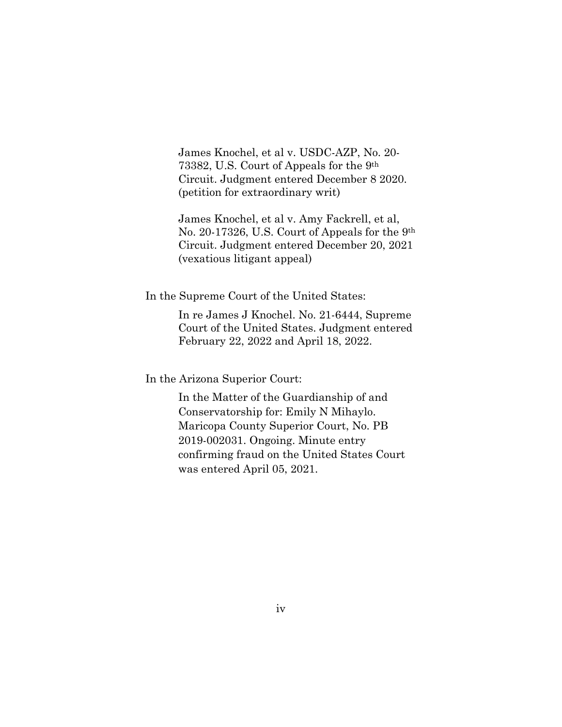James Knochel, et al v. USDC-AZP, No. 20- 73382, U.S. Court of Appeals for the 9th Circuit. Judgment entered December 8 2020. (petition for extraordinary writ)

James Knochel, et al v. Amy Fackrell, et al, No. 20-17326, U.S. Court of Appeals for the 9th Circuit. Judgment entered December 20, 2021 (vexatious litigant appeal)

In the Supreme Court of the United States:

In re James J Knochel. No. 21-6444, Supreme Court of the United States. Judgment entered February 22, 2022 and April 18, 2022.

In the Arizona Superior Court:

In the Matter of the Guardianship of and Conservatorship for: Emily N Mihaylo. Maricopa County Superior Court, No. PB 2019-002031. Ongoing. Minute entry confirming fraud on the United States Court was entered April 05, 2021.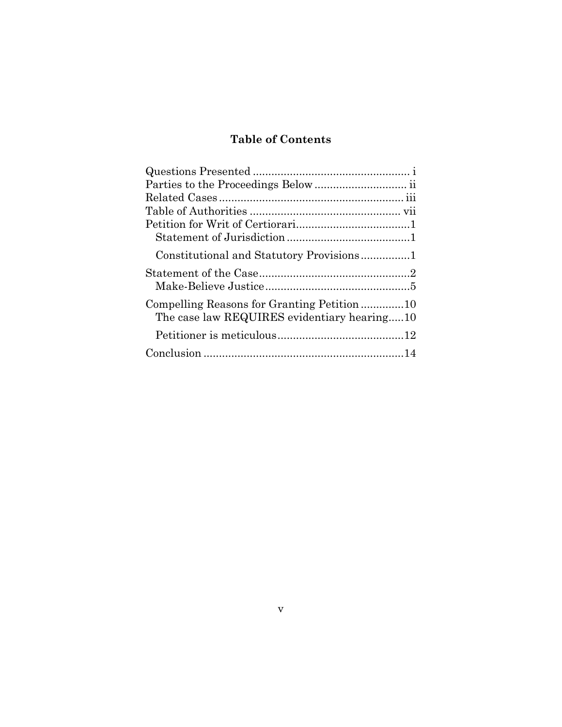# **Table of Contents**

| The case law REQUIRES evidentiary hearing10 |  |
|---------------------------------------------|--|
|                                             |  |
|                                             |  |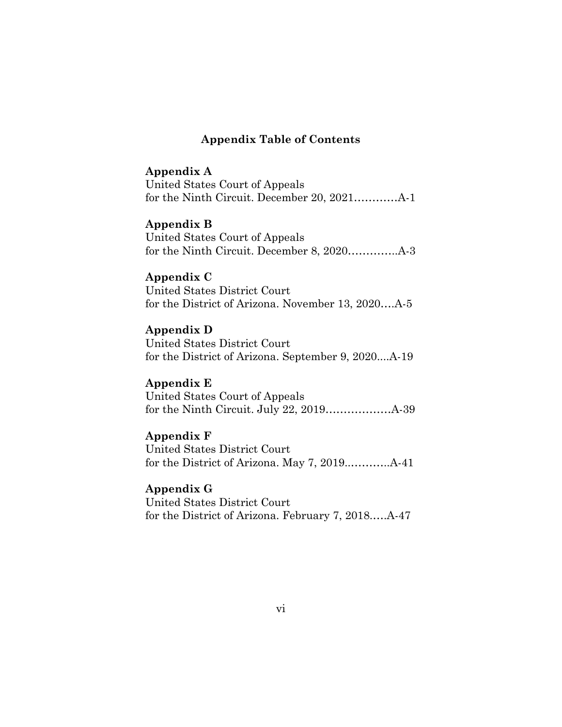## **Appendix Table of Contents**

## **Appendix A**

United States Court of Appeals for the Ninth Circuit. December 20, 2021…………A-1

### **Appendix B**

United States Court of Appeals for the Ninth Circuit. December 8, 2020…………..A-3

## **Appendix C**

United States District Court for the District of Arizona. November 13, 2020….A-5

## **Appendix D**

United States District Court for the District of Arizona. September 9, 2020....A-19

## **Appendix E**

United States Court of Appeals for the Ninth Circuit. July 22, 2019………………A-39

# **Appendix F**

United States District Court for the District of Arizona. May 7, 2019..………..A-41

# **Appendix G**

United States District Court for the District of Arizona. February 7, 2018.….A-47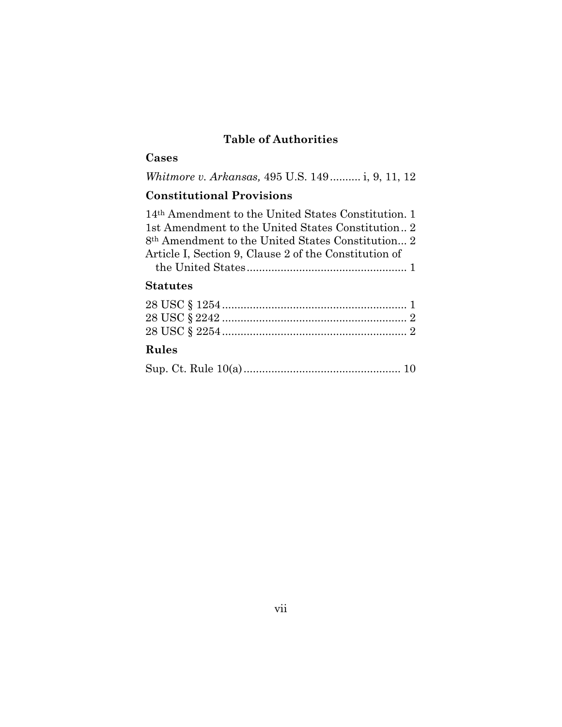# **Table of Authorities**

# <span id="page-7-0"></span>**Cases**

*Whitmore v. Arkansas,* 495 U.S. 149.......... i, 9, 11, 12

# **Constitutional Provisions**

14th Amendment to the United States Constitution. 1 1st Amendment to the United States Constitution.. 2 8th Amendment to the United States Constitution... 2 Article I, Section 9, Clause 2 of the Constitution of the United States.................................................... 1

#### **Statutes**

#### **Rules**

|--|--|--|--|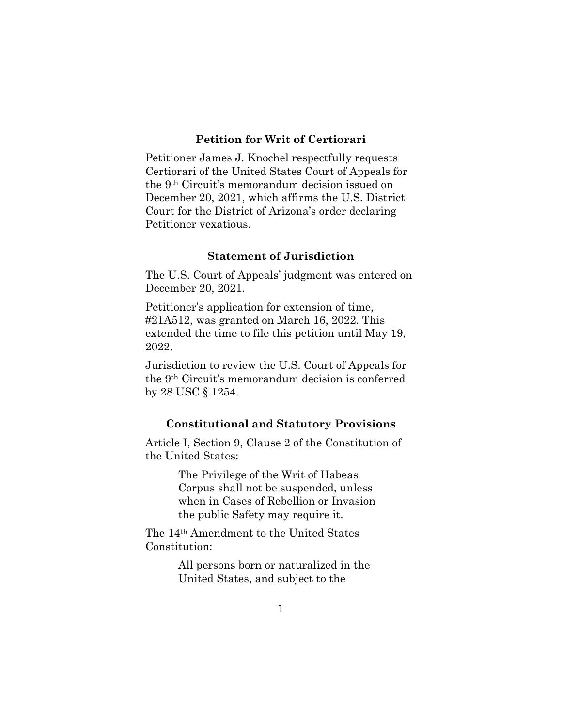## **Petition for Writ of Certiorari**

<span id="page-8-0"></span>Petitioner James J. Knochel respectfully requests Certiorari of the United States Court of Appeals for the 9th Circuit's memorandum decision issued on December 20, 2021, which affirms the U.S. District Court for the District of Arizona's order declaring Petitioner vexatious.

#### **Statement of Jurisdiction**

<span id="page-8-1"></span>The U.S. Court of Appeals' judgment was entered on December 20, 2021.

Petitioner's application for extension of time, #21A512, was granted on March 16, 2022. This extended the time to file this petition until May 19, 2022.

Jurisdiction to review the U.S. Court of Appeals for the 9th Circuit's memorandum decision is conferred by 28 USC § 1254.

#### **Constitutional and Statutory Provisions**

<span id="page-8-2"></span>Article I, Section 9, Clause 2 of the Constitution of the United States:

> The Privilege of the Writ of Habeas Corpus shall not be suspended, unless when in Cases of Rebellion or Invasion the public Safety may require it.

The 14th Amendment to the United States Constitution:

> All persons born or naturalized in the United States, and subject to the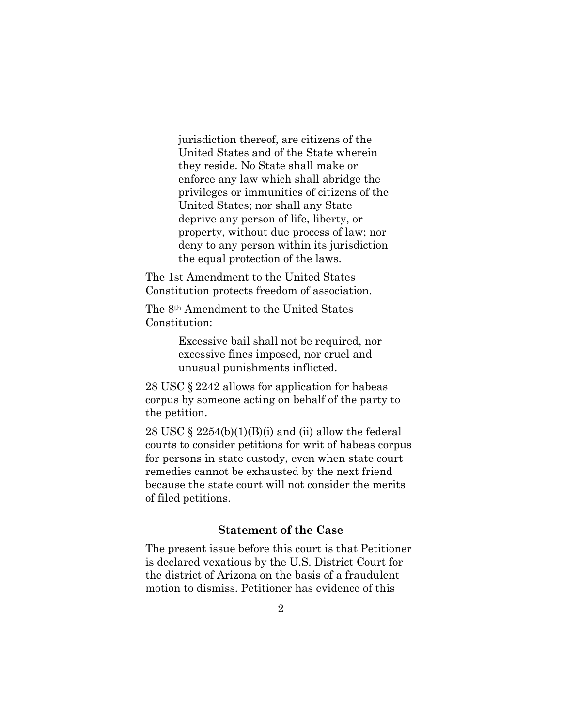jurisdiction thereof, are citizens of the United States and of the State wherein they reside. No State shall make or enforce any law which shall abridge the privileges or immunities of citizens of the United States; nor shall any State deprive any person of life, liberty, or property, without due process of law; nor deny to any person within its jurisdiction the equal protection of the laws.

The 1st Amendment to the United States Constitution protects freedom of association.

The 8th Amendment to the United States Constitution:

> Excessive bail shall not be required, nor excessive fines imposed, nor cruel and unusual punishments inflicted.

28 USC § 2242 allows for application for habeas corpus by someone acting on behalf of the party to the petition.

28 USC  $\S$  2254(b)(1)(B)(i) and (ii) allow the federal courts to consider petitions for writ of habeas corpus for persons in state custody, even when state court remedies cannot be exhausted by the next friend because the state court will not consider the merits of filed petitions.

# **Statement of the Case**

<span id="page-9-0"></span>The present issue before this court is that Petitioner is declared vexatious by the U.S. District Court for the district of Arizona on the basis of a fraudulent motion to dismiss. Petitioner has evidence of this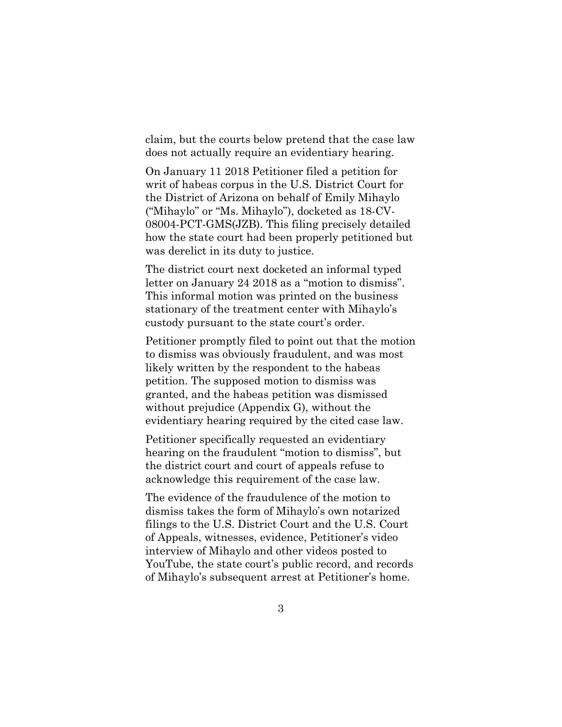claim, but the courts below pretend that the case law does not actually require an evidentiary hearing.

On January 11 2018 Petitioner filed a petition for writ of habeas corpus in the U.S. District Court for the District of Arizona on behalf of Emily Mihaylo ("Mihaylo" or "Ms. Mihaylo"), docketed as 18-CV-08004-PCT-GMS(JZB). This filing precisely detailed how the state court had been properly petitioned but was derelict in its duty to justice.

The district court next docketed an informal typed letter on January 24 2018 as a "motion to dismiss". This informal motion was printed on the business stationary of the treatment center with Mihaylo's custody pursuant to the state court's order.

Petitioner promptly filed to point out that the motion to dismiss was obviously fraudulent, and was most likely written by the respondent to the habeas petition. The supposed motion to dismiss was granted, and the habeas petition was dismissed without prejudice (Appendix G), without the evidentiary hearing required by the cited case law.

Petitioner specifically requested an evidentiary hearing on the fraudulent "motion to dismiss", but the district court and court of appeals refuse to acknowledge this requirement of the case law.

The evidence of the fraudulence of the motion to dismiss takes the form of Mihaylo's own notarized filings to the U.S. District Court and the U.S. Court of Appeals, witnesses, evidence, Petitioner's video interview of Mihaylo and other videos posted to YouTube, the state court's public record, and records of Mihaylo's subsequent arrest at Petitioner's home.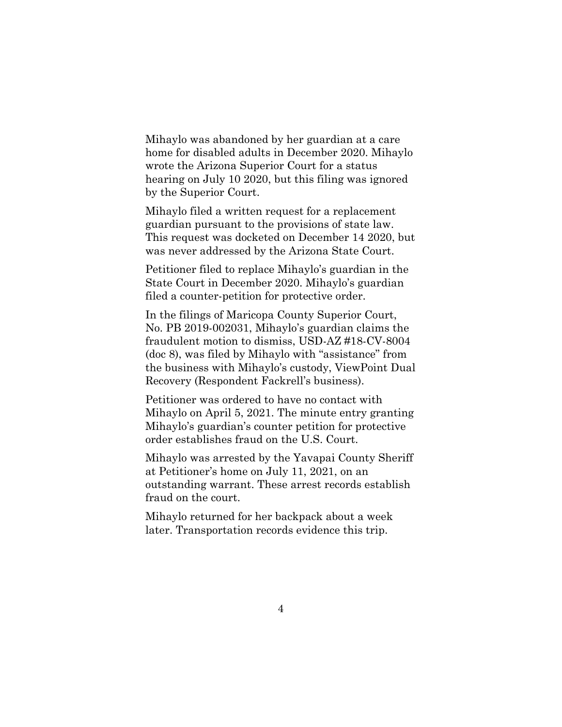Mihaylo was abandoned by her guardian at a care home for disabled adults in December 2020. Mihaylo wrote the Arizona Superior Court for a status hearing on July 10 2020, but this filing was ignored by the Superior Court.

Mihaylo filed a written request for a replacement guardian pursuant to the provisions of state law. This request was docketed on December 14 2020, but was never addressed by the Arizona State Court.

Petitioner filed to replace Mihaylo's guardian in the State Court in December 2020. Mihaylo's guardian filed a counter-petition for protective order.

In the filings of Maricopa County Superior Court, No. PB 2019-002031, Mihaylo's guardian claims the fraudulent motion to dismiss, USD-AZ #18-CV-8004 (doc 8), was filed by Mihaylo with "assistance" from the business with Mihaylo's custody, ViewPoint Dual Recovery (Respondent Fackrell's business).

Petitioner was ordered to have no contact with Mihaylo on April 5, 2021. The minute entry granting Mihaylo's guardian's counter petition for protective order establishes fraud on the U.S. Court.

Mihaylo was arrested by the Yavapai County Sheriff at Petitioner's home on July 11, 2021, on an outstanding warrant. These arrest records establish fraud on the court.

Mihaylo returned for her backpack about a week later. Transportation records evidence this trip.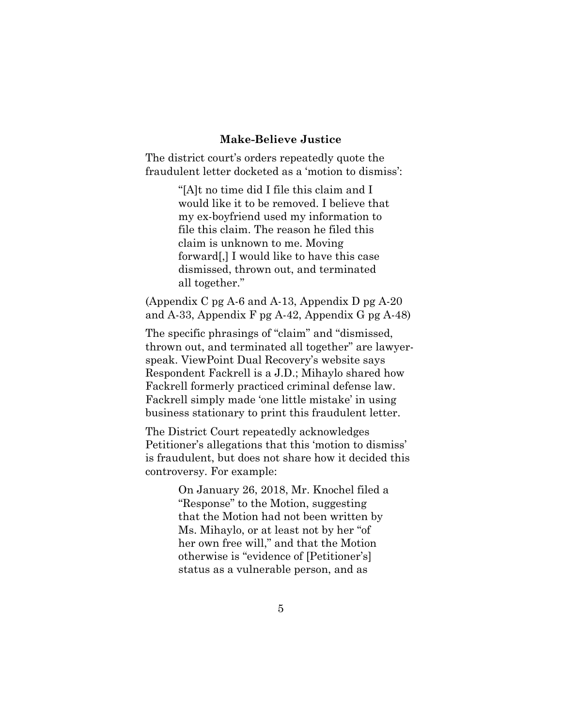#### **Make-Believe Justice**

<span id="page-12-0"></span>The district court's orders repeatedly quote the fraudulent letter docketed as a 'motion to dismiss':

> "[A]t no time did I file this claim and I would like it to be removed. I believe that my ex-boyfriend used my information to file this claim. The reason he filed this claim is unknown to me. Moving forward[,] I would like to have this case dismissed, thrown out, and terminated all together."

(Appendix C pg A-6 and A-13, Appendix D pg A-20 and A-33, Appendix F pg A-42, Appendix G pg A-48)

The specific phrasings of "claim" and "dismissed, thrown out, and terminated all together" are lawyerspeak. ViewPoint Dual Recovery's website says Respondent Fackrell is a J.D.; Mihaylo shared how Fackrell formerly practiced criminal defense law. Fackrell simply made 'one little mistake' in using business stationary to print this fraudulent letter.

The District Court repeatedly acknowledges Petitioner's allegations that this 'motion to dismiss' is fraudulent, but does not share how it decided this controversy. For example:

> On January 26, 2018, Mr. Knochel filed a "Response" to the Motion, suggesting that the Motion had not been written by Ms. Mihaylo, or at least not by her "of her own free will," and that the Motion otherwise is "evidence of [Petitioner's] status as a vulnerable person, and as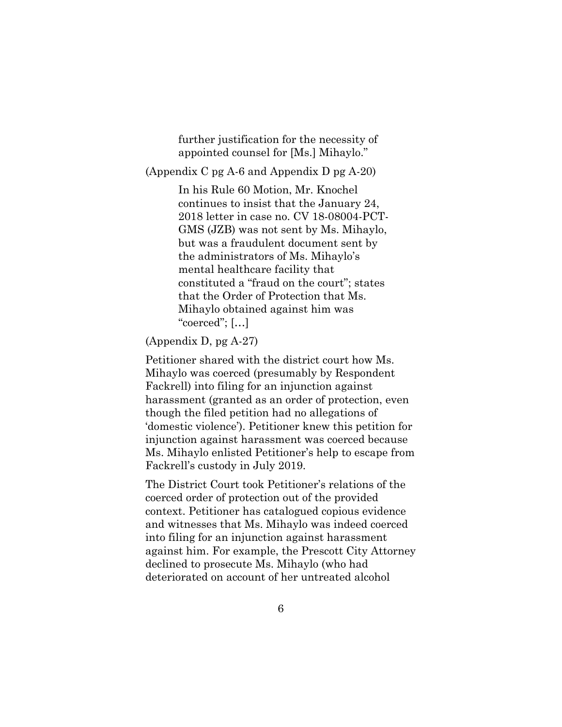further justification for the necessity of appointed counsel for [Ms.] Mihaylo."

(Appendix C pg A-6 and Appendix D pg A-20)

In his Rule 60 Motion, Mr. Knochel continues to insist that the January 24, 2018 letter in case no. CV 18-08004-PCT-GMS (JZB) was not sent by Ms. Mihaylo, but was a fraudulent document sent by the administrators of Ms. Mihaylo's mental healthcare facility that constituted a "fraud on the court"; states that the Order of Protection that Ms. Mihaylo obtained against him was "coerced"; […]

# (Appendix D, pg A-27)

Petitioner shared with the district court how Ms. Mihaylo was coerced (presumably by Respondent Fackrell) into filing for an injunction against harassment (granted as an order of protection, even though the filed petition had no allegations of 'domestic violence'). Petitioner knew this petition for injunction against harassment was coerced because Ms. Mihaylo enlisted Petitioner's help to escape from Fackrell's custody in July 2019.

The District Court took Petitioner's relations of the coerced order of protection out of the provided context. Petitioner has catalogued copious evidence and witnesses that Ms. Mihaylo was indeed coerced into filing for an injunction against harassment against him. For example, the Prescott City Attorney declined to prosecute Ms. Mihaylo (who had deteriorated on account of her untreated alcohol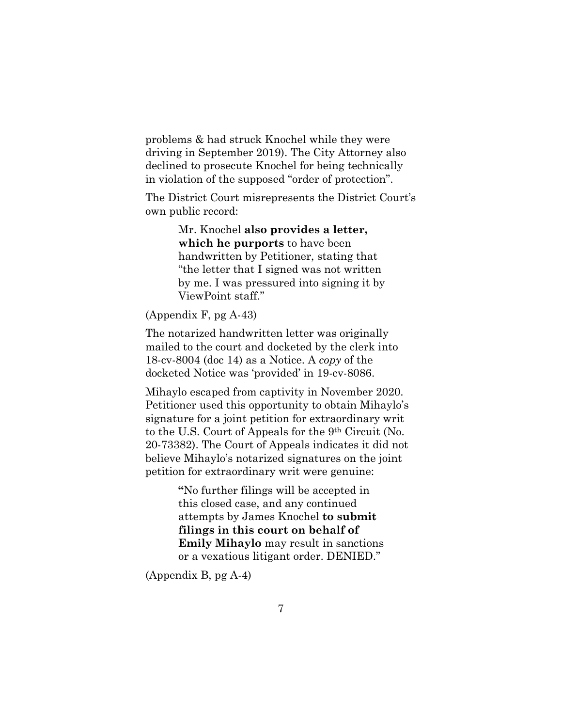problems & had struck Knochel while they were driving in September 2019). The City Attorney also declined to prosecute Knochel for being technically in violation of the supposed "order of protection".

The District Court misrepresents the District Court's own public record:

> Mr. Knochel **also provides a letter, which he purports** to have been handwritten by Petitioner, stating that "the letter that I signed was not written by me. I was pressured into signing it by ViewPoint staff."

## (Appendix F, pg A-43)

The notarized handwritten letter was originally mailed to the court and docketed by the clerk into 18-cv-8004 (doc 14) as a Notice. A *copy* of the docketed Notice was 'provided' in 19-cv-8086.

Mihaylo escaped from captivity in November 2020. Petitioner used this opportunity to obtain Mihaylo's signature for a joint petition for extraordinary writ to the U.S. Court of Appeals for the 9th Circuit (No. 20-73382). The Court of Appeals indicates it did not believe Mihaylo's notarized signatures on the joint petition for extraordinary writ were genuine:

> **"**No further filings will be accepted in this closed case, and any continued attempts by James Knochel **to submit filings in this court on behalf of Emily Mihaylo** may result in sanctions or a vexatious litigant order. DENIED."

(Appendix B, pg A-4)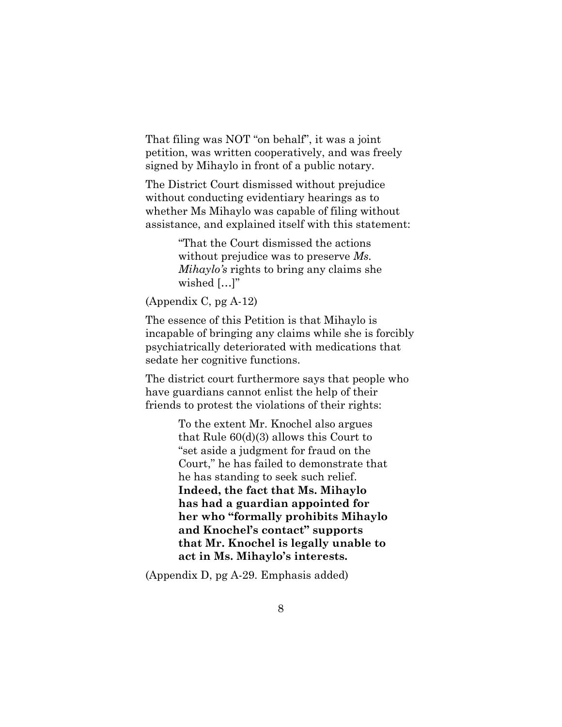That filing was NOT "on behalf", it was a joint petition, was written cooperatively, and was freely signed by Mihaylo in front of a public notary.

The District Court dismissed without prejudice without conducting evidentiary hearings as to whether Ms Mihaylo was capable of filing without assistance, and explained itself with this statement:

> "That the Court dismissed the actions without prejudice was to preserve *Ms. Mihaylo's* rights to bring any claims she wished [...]"

(Appendix C, pg A-12)

The essence of this Petition is that Mihaylo is incapable of bringing any claims while she is forcibly psychiatrically deteriorated with medications that sedate her cognitive functions.

The district court furthermore says that people who have guardians cannot enlist the help of their friends to protest the violations of their rights:

> To the extent Mr. Knochel also argues that Rule 60(d)(3) allows this Court to "set aside a judgment for fraud on the Court," he has failed to demonstrate that he has standing to seek such relief. **Indeed, the fact that Ms. Mihaylo has had a guardian appointed for her who "formally prohibits Mihaylo and Knochel's contact" supports that Mr. Knochel is legally unable to act in Ms. Mihaylo's interests.**

(Appendix D, pg A-29. Emphasis added)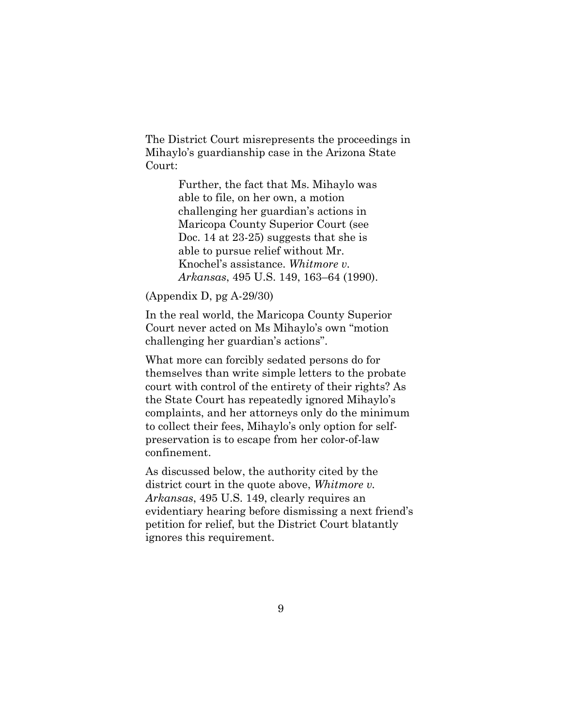The District Court misrepresents the proceedings in Mihaylo's guardianship case in the Arizona State Court:

> Further, the fact that Ms. Mihaylo was able to file, on her own, a motion challenging her guardian's actions in Maricopa County Superior Court (see Doc. 14 at 23-25) suggests that she is able to pursue relief without Mr. Knochel's assistance. *Whitmore v. Arkansas*, 495 U.S. 149, 163–64 (1990).

(Appendix D, pg A-29/30)

In the real world, the Maricopa County Superior Court never acted on Ms Mihaylo's own "motion challenging her guardian's actions".

What more can forcibly sedated persons do for themselves than write simple letters to the probate court with control of the entirety of their rights? As the State Court has repeatedly ignored Mihaylo's complaints, and her attorneys only do the minimum to collect their fees, Mihaylo's only option for selfpreservation is to escape from her color-of-law confinement.

As discussed below, the authority cited by the district court in the quote above, *Whitmore v. Arkansas*, 495 U.S. 149, clearly requires an evidentiary hearing before dismissing a next friend's petition for relief, but the District Court blatantly ignores this requirement.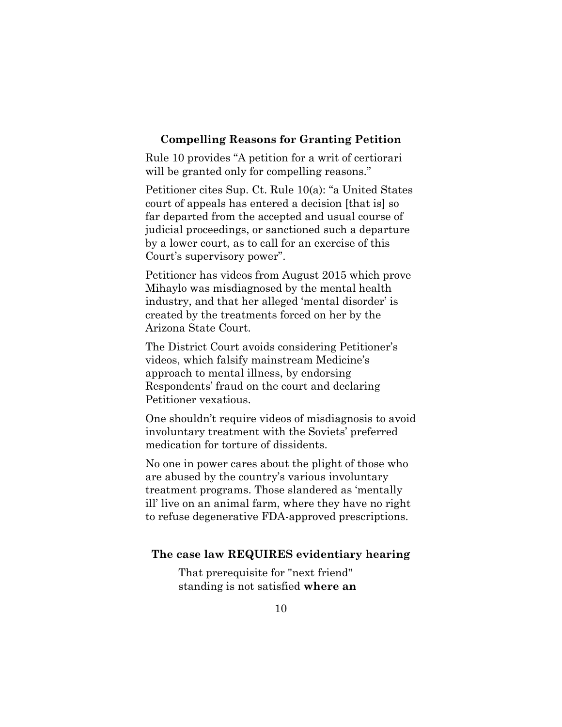#### <span id="page-17-0"></span>**Compelling Reasons for Granting Petition**

Rule 10 provides "A petition for a writ of certiorari will be granted only for compelling reasons."

Petitioner cites Sup. Ct. Rule 10(a): "a United States court of appeals has entered a decision [that is] so far departed from the accepted and usual course of judicial proceedings, or sanctioned such a departure by a lower court, as to call for an exercise of this Court's supervisory power".

Petitioner has videos from August 2015 which prove Mihaylo was misdiagnosed by the mental health industry, and that her alleged 'mental disorder' is created by the treatments forced on her by the Arizona State Court.

The District Court avoids considering Petitioner's videos, which falsify mainstream Medicine's approach to mental illness, by endorsing Respondents' fraud on the court and declaring Petitioner vexatious.

One shouldn't require videos of misdiagnosis to avoid involuntary treatment with the Soviets' preferred medication for torture of dissidents.

No one in power cares about the plight of those who are abused by the country's various involuntary treatment programs. Those slandered as 'mentally ill' live on an animal farm, where they have no right to refuse degenerative FDA-approved prescriptions.

## <span id="page-17-1"></span>**The case law REQUIRES evidentiary hearing**

That prerequisite for "next friend" standing is not satisfied **where an**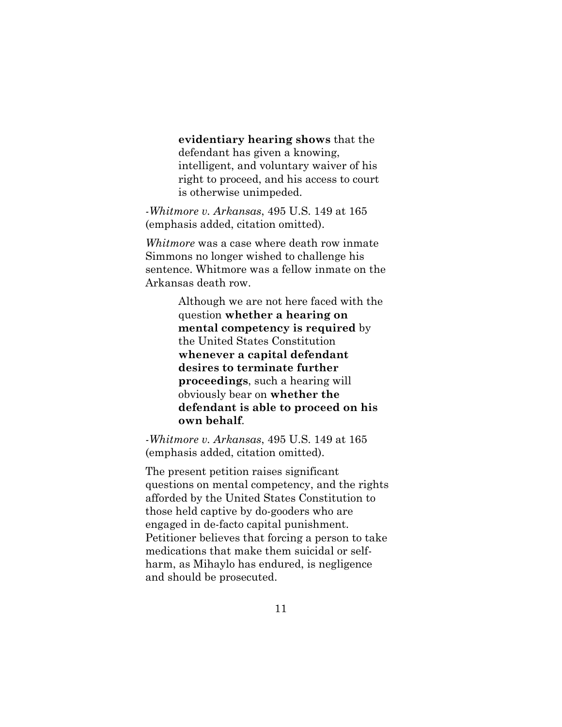**evidentiary hearing shows** that the defendant has given a knowing, intelligent, and voluntary waiver of his right to proceed, and his access to court is otherwise unimpeded.

*-Whitmore v. Arkansas*, 495 U.S. 149 at 165 (emphasis added, citation omitted).

*Whitmore* was a case where death row inmate Simmons no longer wished to challenge his sentence. Whitmore was a fellow inmate on the Arkansas death row.

> Although we are not here faced with the question **whether a hearing on mental competency is required** by the United States Constitution **whenever a capital defendant desires to terminate further proceedings**, such a hearing will obviously bear on **whether the defendant is able to proceed on his own behalf**.

*-Whitmore v. Arkansas*, 495 U.S. 149 at 165 (emphasis added, citation omitted).

The present petition raises significant questions on mental competency, and the rights afforded by the United States Constitution to those held captive by do-gooders who are engaged in de-facto capital punishment. Petitioner believes that forcing a person to take medications that make them suicidal or selfharm, as Mihaylo has endured, is negligence and should be prosecuted.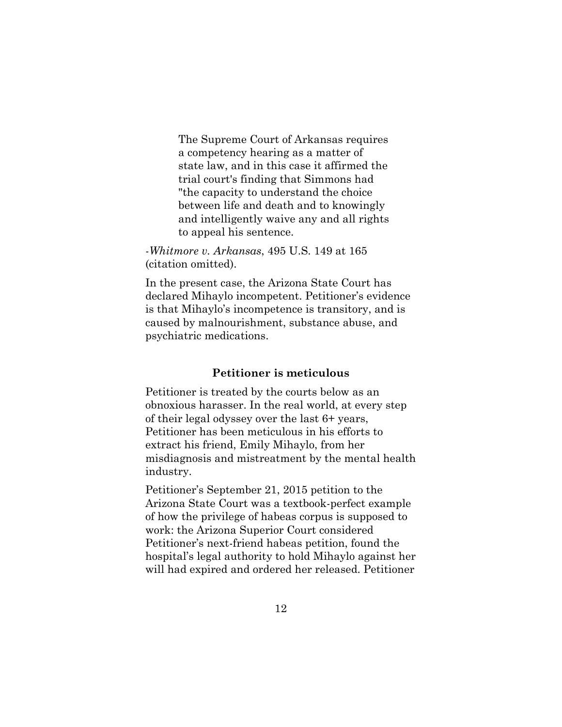The Supreme Court of Arkansas requires a competency hearing as a matter of state law, and in this case it affirmed the trial court's finding that Simmons had "the capacity to understand the choice between life and death and to knowingly and intelligently waive any and all rights to appeal his sentence.

*-Whitmore v. Arkansas*, 495 U.S. 149 at 165 (citation omitted).

In the present case, the Arizona State Court has declared Mihaylo incompetent. Petitioner's evidence is that Mihaylo's incompetence is transitory, and is caused by malnourishment, substance abuse, and psychiatric medications.

# **Petitioner is meticulous**

<span id="page-19-0"></span>Petitioner is treated by the courts below as an obnoxious harasser. In the real world, at every step of their legal odyssey over the last 6+ years, Petitioner has been meticulous in his efforts to extract his friend, Emily Mihaylo, from her misdiagnosis and mistreatment by the mental health industry.

Petitioner's September 21, 2015 petition to the Arizona State Court was a textbook-perfect example of how the privilege of habeas corpus is supposed to work: the Arizona Superior Court considered Petitioner's next-friend habeas petition, found the hospital's legal authority to hold Mihaylo against her will had expired and ordered her released. Petitioner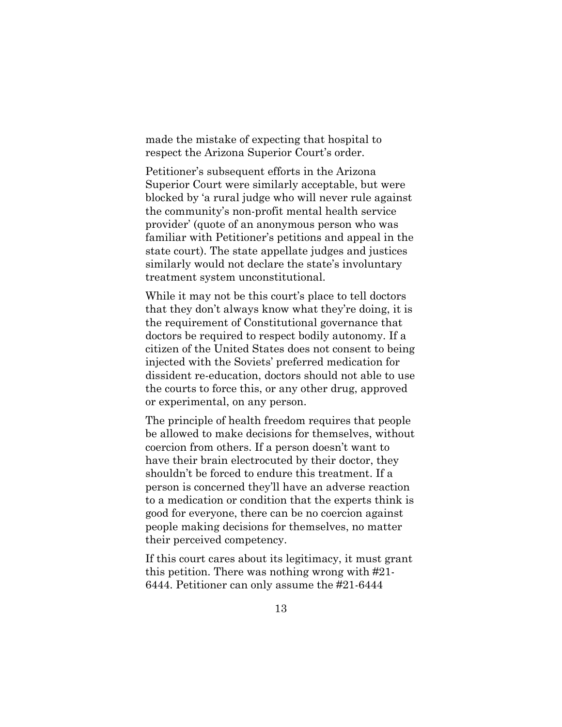made the mistake of expecting that hospital to respect the Arizona Superior Court's order.

Petitioner's subsequent efforts in the Arizona Superior Court were similarly acceptable, but were blocked by 'a rural judge who will never rule against the community's non-profit mental health service provider' (quote of an anonymous person who was familiar with Petitioner's petitions and appeal in the state court). The state appellate judges and justices similarly would not declare the state's involuntary treatment system unconstitutional.

While it may not be this court's place to tell doctors that they don't always know what they're doing, it is the requirement of Constitutional governance that doctors be required to respect bodily autonomy. If a citizen of the United States does not consent to being injected with the Soviets' preferred medication for dissident re-education, doctors should not able to use the courts to force this, or any other drug, approved or experimental, on any person.

The principle of health freedom requires that people be allowed to make decisions for themselves, without coercion from others. If a person doesn't want to have their brain electrocuted by their doctor, they shouldn't be forced to endure this treatment. If a person is concerned they'll have an adverse reaction to a medication or condition that the experts think is good for everyone, there can be no coercion against people making decisions for themselves, no matter their perceived competency.

If this court cares about its legitimacy, it must grant this petition. There was nothing wrong with #21- 6444. Petitioner can only assume the #21-6444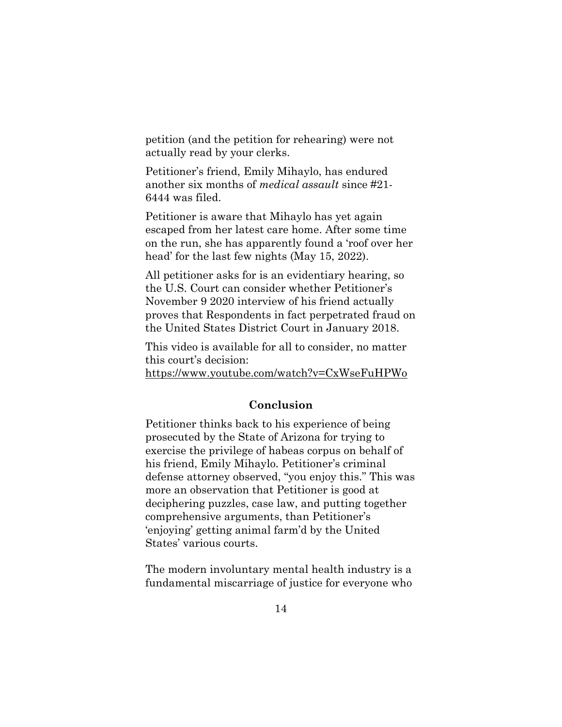petition (and the petition for rehearing) were not actually read by your clerks.

Petitioner's friend, Emily Mihaylo, has endured another six months of *medical assault* since #21- 6444 was filed.

Petitioner is aware that Mihaylo has yet again escaped from her latest care home. After some time on the run, she has apparently found a 'roof over her head' for the last few nights (May 15, 2022).

All petitioner asks for is an evidentiary hearing, so the U.S. Court can consider whether Petitioner's November 9 2020 interview of his friend actually proves that Respondents in fact perpetrated fraud on the United States District Court in January 2018.

This video is available for all to consider, no matter this court's decision:

https://www.youtube.com/watch?v=CxWseFuHPWo

#### **Conclusion**

<span id="page-21-0"></span>Petitioner thinks back to his experience of being prosecuted by the State of Arizona for trying to exercise the privilege of habeas corpus on behalf of his friend, Emily Mihaylo. Petitioner's criminal defense attorney observed, "you enjoy this." This was more an observation that Petitioner is good at deciphering puzzles, case law, and putting together comprehensive arguments, than Petitioner's 'enjoying' getting animal farm'd by the United States' various courts.

The modern involuntary mental health industry is a fundamental miscarriage of justice for everyone who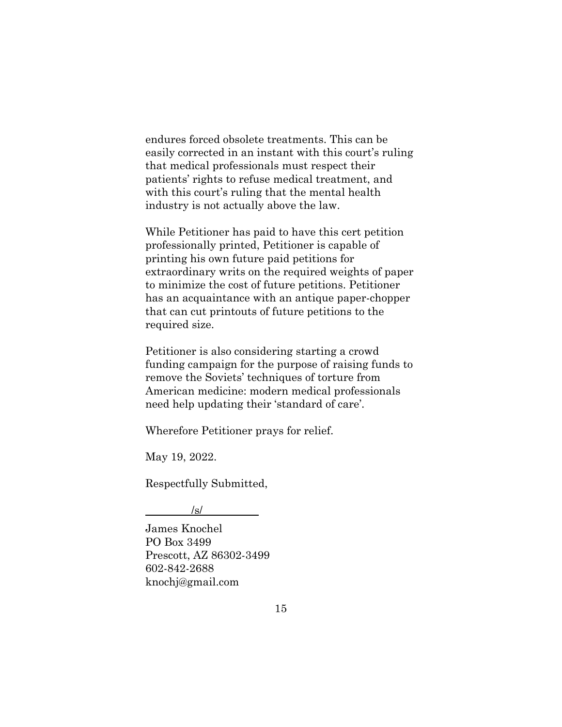endures forced obsolete treatments. This can be easily corrected in an instant with this court's ruling that medical professionals must respect their patients' rights to refuse medical treatment, and with this court's ruling that the mental health industry is not actually above the law.

While Petitioner has paid to have this cert petition professionally printed, Petitioner is capable of printing his own future paid petitions for extraordinary writs on the required weights of paper to minimize the cost of future petitions. Petitioner has an acquaintance with an antique paper-chopper that can cut printouts of future petitions to the required size.

Petitioner is also considering starting a crowd funding campaign for the purpose of raising funds to remove the Soviets' techniques of torture from American medicine: modern medical professionals need help updating their 'standard of care'.

Wherefore Petitioner prays for relief.

May 19, 2022.

Respectfully Submitted,

 $\sqrt{s}$ /

James Knochel PO Box 3499 Prescott, AZ 86302-3499 602-842-2688 knochj@gmail.com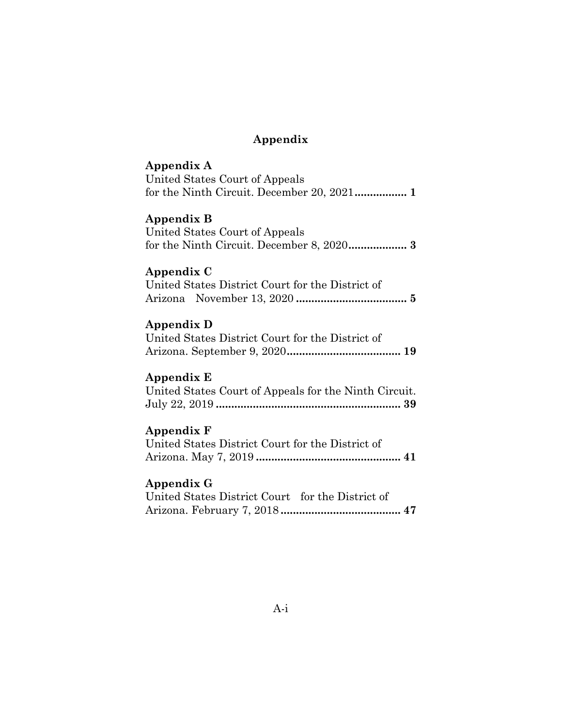# **Appendix**

| Appendix A                                                          |
|---------------------------------------------------------------------|
| United States Court of Appeals                                      |
|                                                                     |
| Appendix B<br>United States Court of Appeals                        |
| Appendix C                                                          |
| United States District Court for the District of                    |
|                                                                     |
|                                                                     |
| Appendix D                                                          |
| United States District Court for the District of                    |
|                                                                     |
| Appendix E<br>United States Court of Appeals for the Ninth Circuit. |
| Appendix F                                                          |
| United States District Court for the District of                    |
|                                                                     |
|                                                                     |
| Appendix G                                                          |
| United States District Court for the District of                    |
|                                                                     |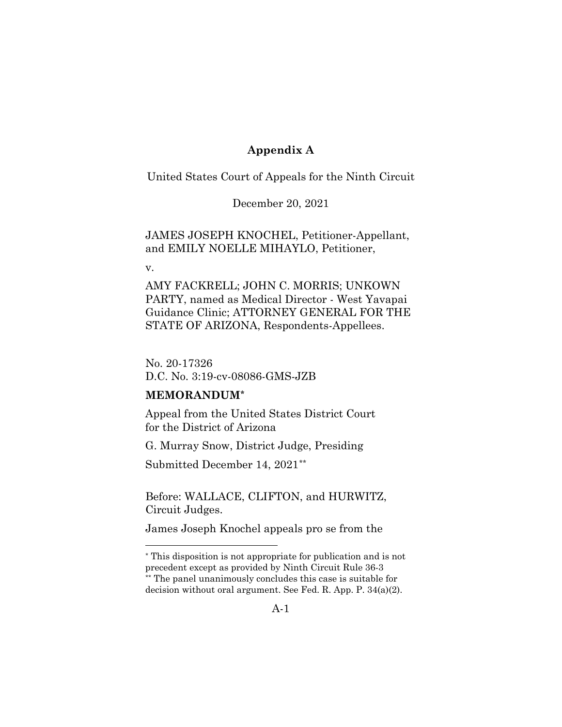# **Appendix A**

<span id="page-24-0"></span>United States Court of Appeals for the Ninth Circuit

December 20, 2021

JAMES JOSEPH KNOCHEL, Petitioner-Appellant, and EMILY NOELLE MIHAYLO, Petitioner,

v.

AMY FACKRELL; JOHN C. MORRIS; UNKOWN PARTY, named as Medical Director - West Yavapai Guidance Clinic; ATTORNEY GENERAL FOR THE STATE OF ARIZONA, Respondents-Appellees.

No. 20-17326 D.C. No. 3:19-cv-08086-GMS-JZB

#### **MEMORANDUM[\\*](#page-24-1)**

Appeal from the United States District Court for the District of Arizona

G. Murray Snow, District Judge, Presiding

Submitted December 14, 2021[\\*\\*](#page-24-2)

Before: WALLACE, CLIFTON, and HURWITZ, Circuit Judges.

James Joseph Knochel appeals pro se from the

<span id="page-24-1"></span>\* This disposition is not appropriate for publication and is not precedent except as provided by Ninth Circuit Rule 36-3 \*\* The panel unanimously concludes this case is suitable for

<span id="page-24-2"></span>decision without oral argument. See Fed. R. App. P. 34(a)(2).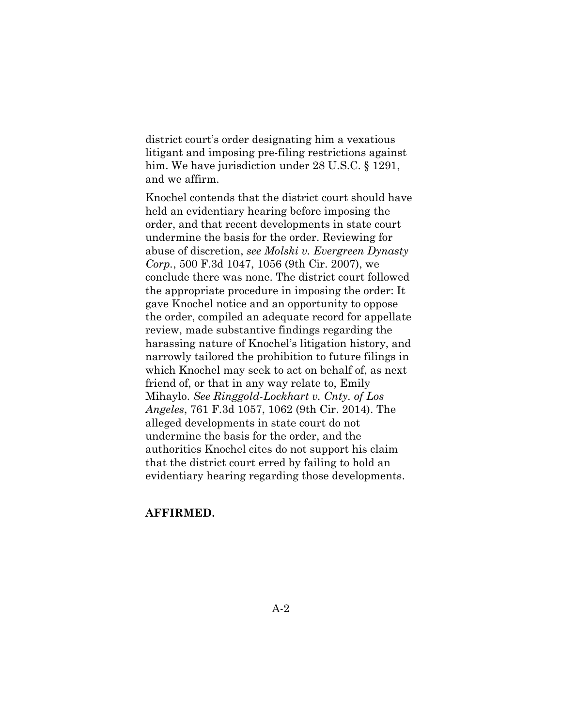district court's order designating him a vexatious litigant and imposing pre-filing restrictions against him. We have jurisdiction under 28 U.S.C. § 1291, and we affirm.

Knochel contends that the district court should have held an evidentiary hearing before imposing the order, and that recent developments in state court undermine the basis for the order. Reviewing for abuse of discretion, *see Molski v. Evergreen Dynasty Corp.*, 500 F.3d 1047, 1056 (9th Cir. 2007), we conclude there was none. The district court followed the appropriate procedure in imposing the order: It gave Knochel notice and an opportunity to oppose the order, compiled an adequate record for appellate review, made substantive findings regarding the harassing nature of Knochel's litigation history, and narrowly tailored the prohibition to future filings in which Knochel may seek to act on behalf of, as next friend of, or that in any way relate to, Emily Mihaylo. *See Ringgold-Lockhart v. Cnty. of Los Angeles*, 761 F.3d 1057, 1062 (9th Cir. 2014). The alleged developments in state court do not undermine the basis for the order, and the authorities Knochel cites do not support his claim that the district court erred by failing to hold an evidentiary hearing regarding those developments.

### **AFFIRMED.**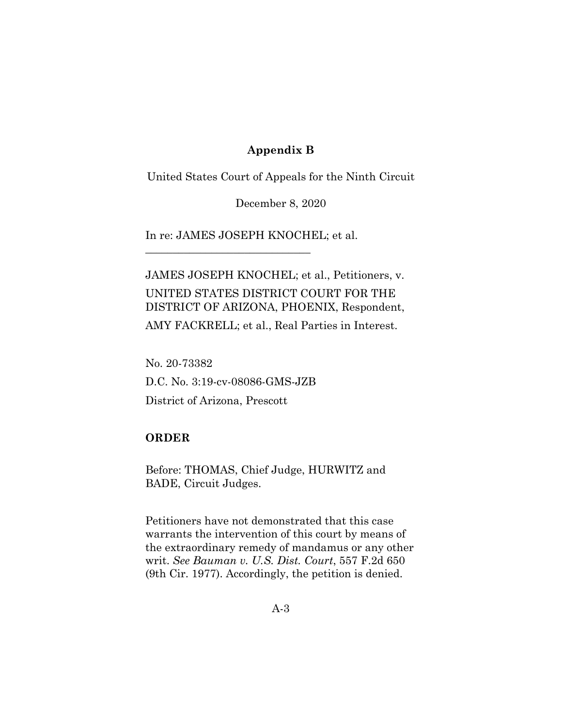# **Appendix B**

<span id="page-26-0"></span>United States Court of Appeals for the Ninth Circuit

December 8, 2020

In re: JAMES JOSEPH KNOCHEL; et al.

\_\_\_\_\_\_\_\_\_\_\_\_\_\_\_\_\_\_\_\_\_\_\_\_\_\_\_\_\_\_

JAMES JOSEPH KNOCHEL; et al., Petitioners, v. UNITED STATES DISTRICT COURT FOR THE DISTRICT OF ARIZONA, PHOENIX, Respondent,

AMY FACKRELL; et al., Real Parties in Interest.

No. 20-73382 D.C. No. 3:19-cv-08086-GMS-JZB District of Arizona, Prescott

#### **ORDER**

Before: THOMAS, Chief Judge, HURWITZ and BADE, Circuit Judges.

Petitioners have not demonstrated that this case warrants the intervention of this court by means of the extraordinary remedy of mandamus or any other writ. *See Bauman v. U.S. Dist. Court*, 557 F.2d 650 (9th Cir. 1977). Accordingly, the petition is denied.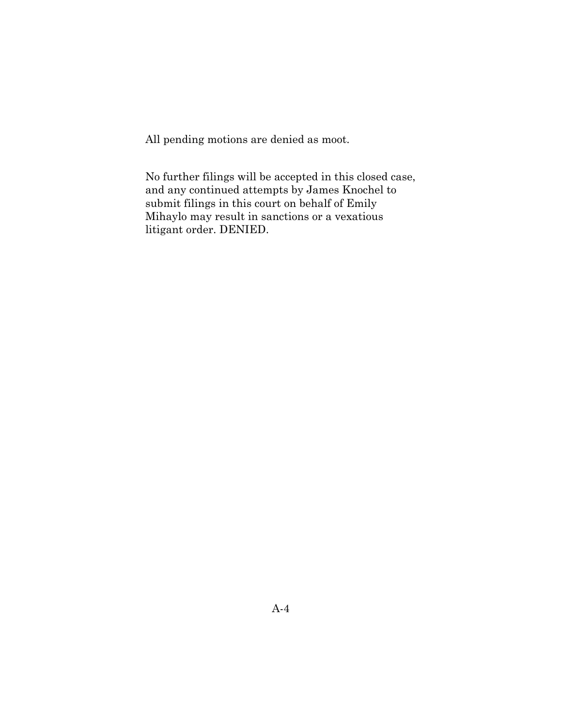All pending motions are denied as moot.

No further filings will be accepted in this closed case, and any continued attempts by James Knochel to submit filings in this court on behalf of Emily Mihaylo may result in sanctions or a vexatious litigant order. DENIED.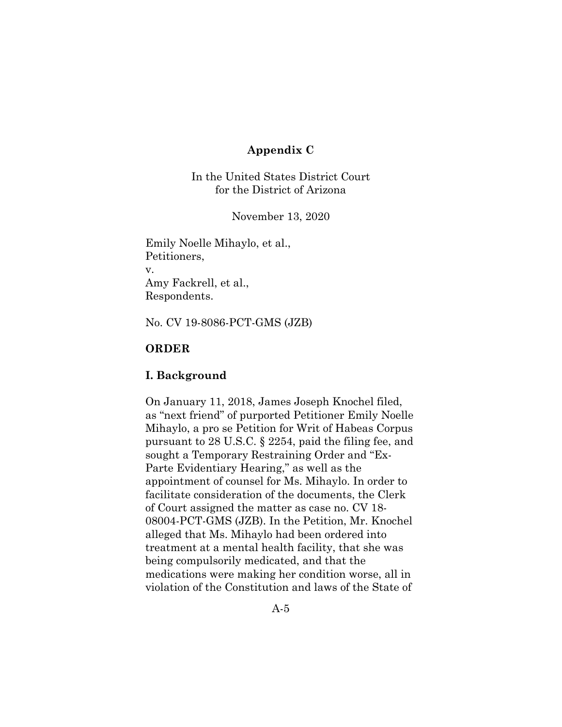# **Appendix C**

<span id="page-28-0"></span>In the United States District Court for the District of Arizona

November 13, 2020

Emily Noelle Mihaylo, et al., Petitioners, v. Amy Fackrell, et al., Respondents.

No. CV 19-8086-PCT-GMS (JZB)

# **ORDER**

#### **I. Background**

On January 11, 2018, James Joseph Knochel filed, as "next friend" of purported Petitioner Emily Noelle Mihaylo, a pro se Petition for Writ of Habeas Corpus pursuant to 28 U.S.C. § 2254, paid the filing fee, and sought a Temporary Restraining Order and "Ex-Parte Evidentiary Hearing," as well as the appointment of counsel for Ms. Mihaylo. In order to facilitate consideration of the documents, the Clerk of Court assigned the matter as case no. CV 18- 08004-PCT-GMS (JZB). In the Petition, Mr. Knochel alleged that Ms. Mihaylo had been ordered into treatment at a mental health facility, that she was being compulsorily medicated, and that the medications were making her condition worse, all in violation of the Constitution and laws of the State of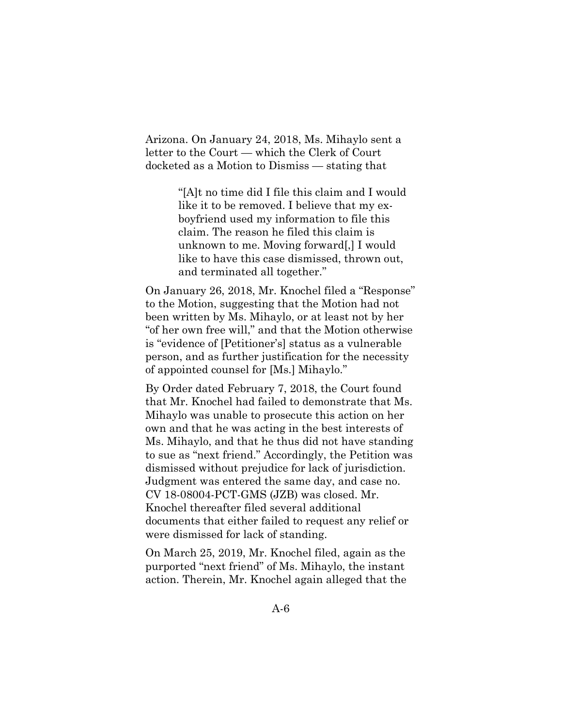Arizona. On January 24, 2018, Ms. Mihaylo sent a letter to the Court — which the Clerk of Court docketed as a Motion to Dismiss — stating that

> "[A]t no time did I file this claim and I would like it to be removed. I believe that my exboyfriend used my information to file this claim. The reason he filed this claim is unknown to me. Moving forward[,] I would like to have this case dismissed, thrown out, and terminated all together."

On January 26, 2018, Mr. Knochel filed a "Response" to the Motion, suggesting that the Motion had not been written by Ms. Mihaylo, or at least not by her "of her own free will," and that the Motion otherwise is "evidence of [Petitioner's] status as a vulnerable person, and as further justification for the necessity of appointed counsel for [Ms.] Mihaylo."

By Order dated February 7, 2018, the Court found that Mr. Knochel had failed to demonstrate that Ms. Mihaylo was unable to prosecute this action on her own and that he was acting in the best interests of Ms. Mihaylo, and that he thus did not have standing to sue as "next friend." Accordingly, the Petition was dismissed without prejudice for lack of jurisdiction. Judgment was entered the same day, and case no. CV 18-08004-PCT-GMS (JZB) was closed. Mr. Knochel thereafter filed several additional documents that either failed to request any relief or were dismissed for lack of standing.

On March 25, 2019, Mr. Knochel filed, again as the purported "next friend" of Ms. Mihaylo, the instant action. Therein, Mr. Knochel again alleged that the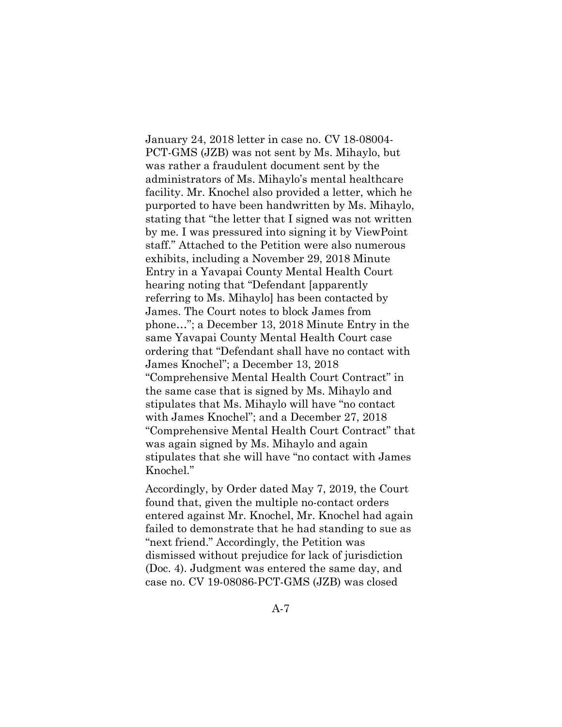January 24, 2018 letter in case no. CV 18-08004- PCT-GMS (JZB) was not sent by Ms. Mihaylo, but was rather a fraudulent document sent by the administrators of Ms. Mihaylo's mental healthcare facility. Mr. Knochel also provided a letter, which he purported to have been handwritten by Ms. Mihaylo, stating that "the letter that I signed was not written by me. I was pressured into signing it by ViewPoint staff." Attached to the Petition were also numerous exhibits, including a November 29, 2018 Minute Entry in a Yavapai County Mental Health Court hearing noting that "Defendant [apparently referring to Ms. Mihaylo] has been contacted by James. The Court notes to block James from phone…"; a December 13, 2018 Minute Entry in the same Yavapai County Mental Health Court case ordering that "Defendant shall have no contact with James Knochel"; a December 13, 2018 "Comprehensive Mental Health Court Contract" in the same case that is signed by Ms. Mihaylo and stipulates that Ms. Mihaylo will have "no contact with James Knochel"; and a December 27, 2018 "Comprehensive Mental Health Court Contract" that was again signed by Ms. Mihaylo and again stipulates that she will have "no contact with James Knochel."

Accordingly, by Order dated May 7, 2019, the Court found that, given the multiple no-contact orders entered against Mr. Knochel, Mr. Knochel had again failed to demonstrate that he had standing to sue as "next friend." Accordingly, the Petition was dismissed without prejudice for lack of jurisdiction (Doc. 4). Judgment was entered the same day, and case no. CV 19-08086-PCT-GMS (JZB) was closed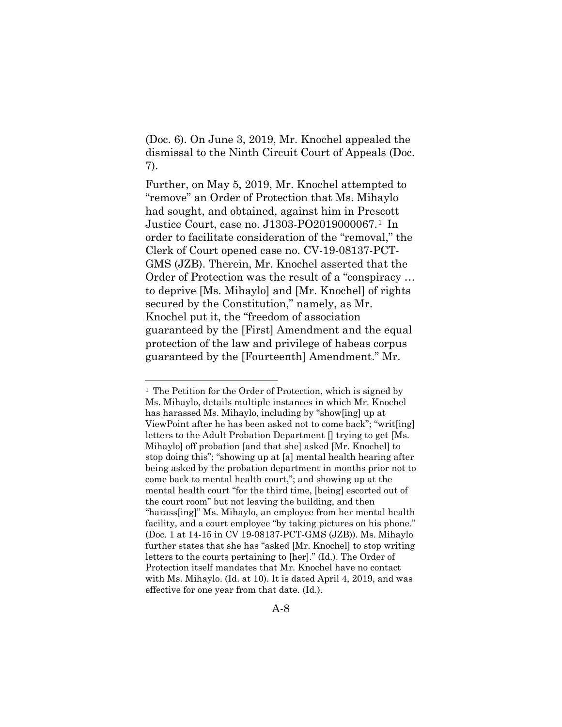(Doc. 6). On June 3, 2019, Mr. Knochel appealed the dismissal to the Ninth Circuit Court of Appeals (Doc. 7).

Further, on May 5, 2019, Mr. Knochel attempted to "remove" an Order of Protection that Ms. Mihaylo had sought, and obtained, against him in Prescott Justice Court, case no. J1303-PO2019000067.[1](#page-31-0) In order to facilitate consideration of the "removal," the Clerk of Court opened case no. CV-19-08137-PCT-GMS (JZB). Therein, Mr. Knochel asserted that the Order of Protection was the result of a "conspiracy … to deprive [Ms. Mihaylo] and [Mr. Knochel] of rights secured by the Constitution," namely, as Mr. Knochel put it, the "freedom of association guaranteed by the [First] Amendment and the equal protection of the law and privilege of habeas corpus guaranteed by the [Fourteenth] Amendment." Mr.

<span id="page-31-0"></span><sup>&</sup>lt;sup>1</sup> The Petition for the Order of Protection, which is signed by Ms. Mihaylo, details multiple instances in which Mr. Knochel has harassed Ms. Mihaylo, including by "show[ing] up at ViewPoint after he has been asked not to come back"; "writ[ing] letters to the Adult Probation Department [] trying to get [Ms. Mihaylo] off probation [and that she] asked [Mr. Knochel] to stop doing this"; "showing up at [a] mental health hearing after being asked by the probation department in months prior not to come back to mental health court,"; and showing up at the mental health court "for the third time, [being] escorted out of the court room" but not leaving the building, and then "harass[ing]" Ms. Mihaylo, an employee from her mental health facility, and a court employee "by taking pictures on his phone." (Doc. 1 at 14-15 in CV 19-08137-PCT-GMS (JZB)). Ms. Mihaylo further states that she has "asked [Mr. Knochel] to stop writing letters to the courts pertaining to [her]." (Id.). The Order of Protection itself mandates that Mr. Knochel have no contact with Ms. Mihaylo. (Id. at 10). It is dated April 4, 2019, and was effective for one year from that date. (Id.).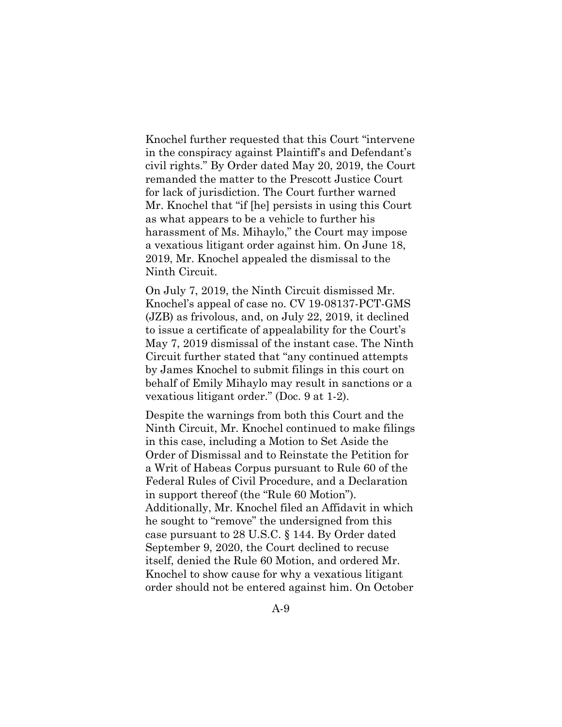Knochel further requested that this Court "intervene in the conspiracy against Plaintiff's and Defendant's civil rights." By Order dated May 20, 2019, the Court remanded the matter to the Prescott Justice Court for lack of jurisdiction. The Court further warned Mr. Knochel that "if [he] persists in using this Court as what appears to be a vehicle to further his harassment of Ms. Mihaylo," the Court may impose a vexatious litigant order against him. On June 18, 2019, Mr. Knochel appealed the dismissal to the Ninth Circuit.

On July 7, 2019, the Ninth Circuit dismissed Mr. Knochel's appeal of case no. CV 19-08137-PCT-GMS (JZB) as frivolous, and, on July 22, 2019, it declined to issue a certificate of appealability for the Court's May 7, 2019 dismissal of the instant case. The Ninth Circuit further stated that "any continued attempts by James Knochel to submit filings in this court on behalf of Emily Mihaylo may result in sanctions or a vexatious litigant order." (Doc. 9 at 1-2).

Despite the warnings from both this Court and the Ninth Circuit, Mr. Knochel continued to make filings in this case, including a Motion to Set Aside the Order of Dismissal and to Reinstate the Petition for a Writ of Habeas Corpus pursuant to Rule 60 of the Federal Rules of Civil Procedure, and a Declaration in support thereof (the "Rule 60 Motion"). Additionally, Mr. Knochel filed an Affidavit in which he sought to "remove" the undersigned from this case pursuant to 28 U.S.C. § 144. By Order dated September 9, 2020, the Court declined to recuse itself, denied the Rule 60 Motion, and ordered Mr. Knochel to show cause for why a vexatious litigant order should not be entered against him. On October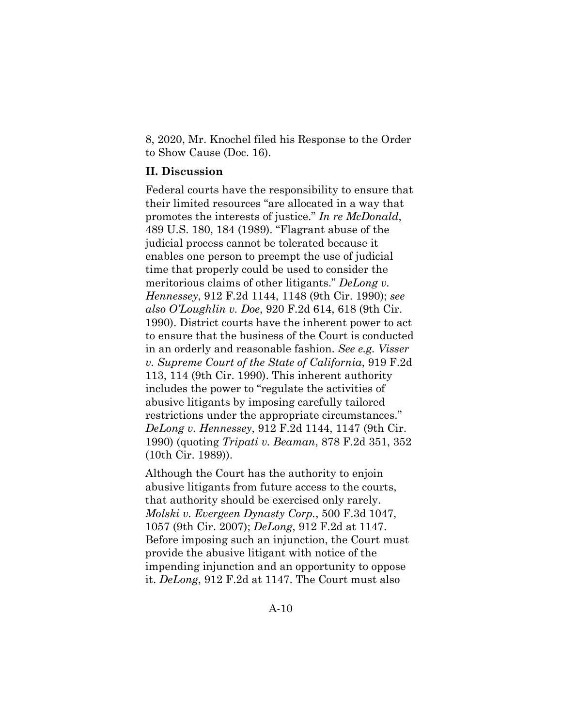8, 2020, Mr. Knochel filed his Response to the Order to Show Cause (Doc. 16).

## **II. Discussion**

Federal courts have the responsibility to ensure that their limited resources "are allocated in a way that promotes the interests of justice." *In re McDonald*, 489 U.S. 180, 184 (1989). "Flagrant abuse of the judicial process cannot be tolerated because it enables one person to preempt the use of judicial time that properly could be used to consider the meritorious claims of other litigants." *DeLong v. Hennessey*, 912 F.2d 1144, 1148 (9th Cir. 1990); *see also O'Loughlin v. Doe*, 920 F.2d 614, 618 (9th Cir. 1990). District courts have the inherent power to act to ensure that the business of the Court is conducted in an orderly and reasonable fashion. *See e.g. Visser v. Supreme Court of the State of California*, 919 F.2d 113, 114 (9th Cir. 1990). This inherent authority includes the power to "regulate the activities of abusive litigants by imposing carefully tailored restrictions under the appropriate circumstances." *DeLong v. Hennessey*, 912 F.2d 1144, 1147 (9th Cir. 1990) (quoting *Tripati v. Beaman*, 878 F.2d 351, 352 (10th Cir. 1989)).

Although the Court has the authority to enjoin abusive litigants from future access to the courts, that authority should be exercised only rarely. *Molski v. Evergeen Dynasty Corp.*, 500 F.3d 1047, 1057 (9th Cir. 2007); *DeLong*, 912 F.2d at 1147. Before imposing such an injunction, the Court must provide the abusive litigant with notice of the impending injunction and an opportunity to oppose it. *DeLong*, 912 F.2d at 1147. The Court must also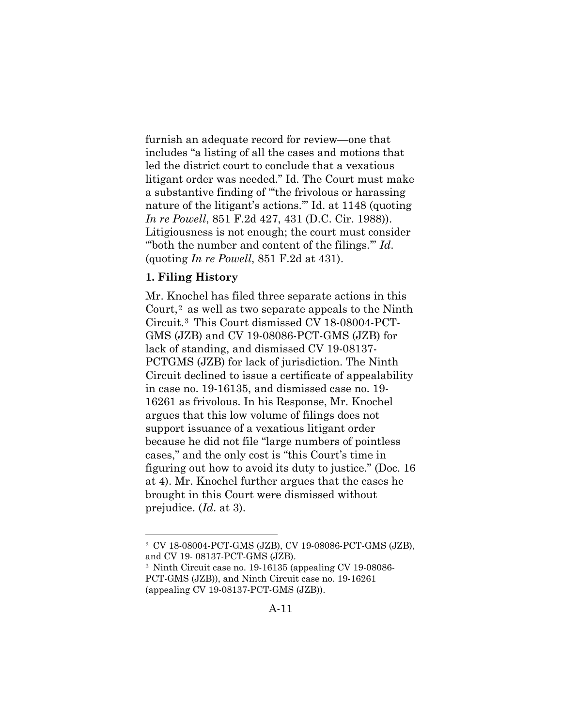furnish an adequate record for review—one that includes "a listing of all the cases and motions that led the district court to conclude that a vexatious litigant order was needed." Id. The Court must make a substantive finding of "'the frivolous or harassing nature of the litigant's actions.'" Id. at 1148 (quoting *In re Powell*, 851 F.2d 427, 431 (D.C. Cir. 1988)). Litigiousness is not enough; the court must consider "'both the number and content of the filings.'" *Id*. (quoting *In re Powell*, 851 F.2d at 431).

# **1. Filing History**

Mr. Knochel has filed three separate actions in this Court,[2](#page-34-0) as well as two separate appeals to the Ninth Circuit.[3](#page-34-1) This Court dismissed CV 18-08004-PCT-GMS (JZB) and CV 19-08086-PCT-GMS (JZB) for lack of standing, and dismissed CV 19-08137- PCTGMS (JZB) for lack of jurisdiction. The Ninth Circuit declined to issue a certificate of appealability in case no. 19-16135, and dismissed case no. 19- 16261 as frivolous. In his Response, Mr. Knochel argues that this low volume of filings does not support issuance of a vexatious litigant order because he did not file "large numbers of pointless cases," and the only cost is "this Court's time in figuring out how to avoid its duty to justice." (Doc. 16 at 4). Mr. Knochel further argues that the cases he brought in this Court were dismissed without prejudice. (*Id*. at 3).

<span id="page-34-0"></span><sup>2</sup> CV 18-08004-PCT-GMS (JZB), CV 19-08086-PCT-GMS (JZB), and CV 19- 08137-PCT-GMS (JZB).

<span id="page-34-1"></span><sup>3</sup> Ninth Circuit case no. 19-16135 (appealing CV 19-08086- PCT-GMS (JZB)), and Ninth Circuit case no. 19-16261 (appealing CV 19-08137-PCT-GMS (JZB)).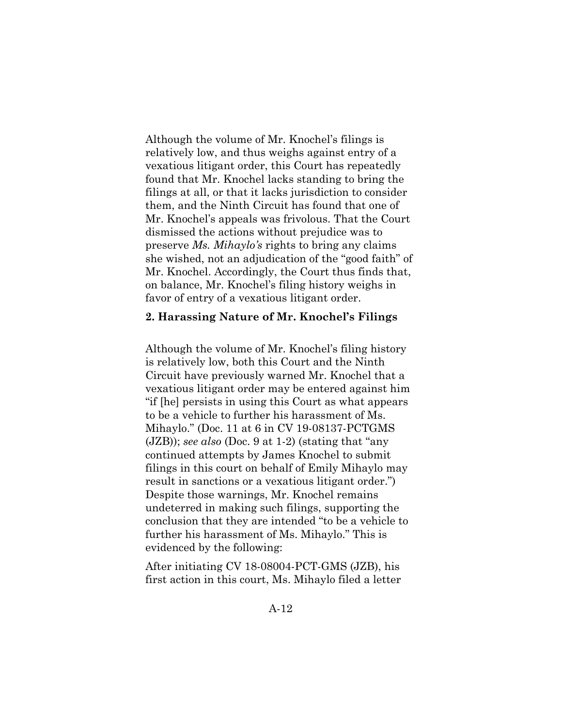Although the volume of Mr. Knochel's filings is relatively low, and thus weighs against entry of a vexatious litigant order, this Court has repeatedly found that Mr. Knochel lacks standing to bring the filings at all, or that it lacks jurisdiction to consider them, and the Ninth Circuit has found that one of Mr. Knochel's appeals was frivolous. That the Court dismissed the actions without prejudice was to preserve *Ms. Mihaylo's* rights to bring any claims she wished, not an adjudication of the "good faith" of Mr. Knochel. Accordingly, the Court thus finds that, on balance, Mr. Knochel's filing history weighs in favor of entry of a vexatious litigant order.

#### **2. Harassing Nature of Mr. Knochel's Filings**

Although the volume of Mr. Knochel's filing history is relatively low, both this Court and the Ninth Circuit have previously warned Mr. Knochel that a vexatious litigant order may be entered against him "if [he] persists in using this Court as what appears to be a vehicle to further his harassment of Ms. Mihaylo." (Doc. 11 at 6 in CV 19-08137-PCTGMS (JZB)); *see also* (Doc. 9 at 1-2) (stating that "any continued attempts by James Knochel to submit filings in this court on behalf of Emily Mihaylo may result in sanctions or a vexatious litigant order.") Despite those warnings, Mr. Knochel remains undeterred in making such filings, supporting the conclusion that they are intended "to be a vehicle to further his harassment of Ms. Mihaylo." This is evidenced by the following:

After initiating CV 18-08004-PCT-GMS (JZB), his first action in this court, Ms. Mihaylo filed a letter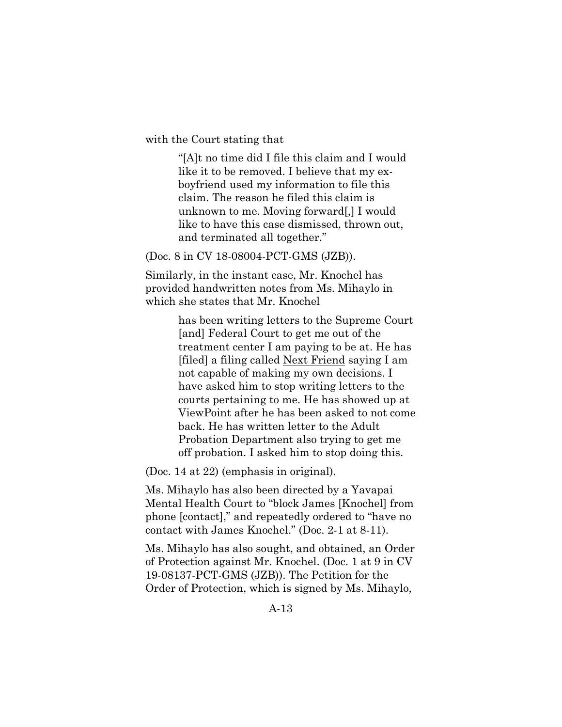with the Court stating that

"[A]t no time did I file this claim and I would like it to be removed. I believe that my exboyfriend used my information to file this claim. The reason he filed this claim is unknown to me. Moving forward[,] I would like to have this case dismissed, thrown out, and terminated all together."

#### (Doc. 8 in CV 18-08004-PCT-GMS (JZB)).

Similarly, in the instant case, Mr. Knochel has provided handwritten notes from Ms. Mihaylo in which she states that Mr. Knochel

> has been writing letters to the Supreme Court [and] Federal Court to get me out of the treatment center I am paying to be at. He has [filed] a filing called Next Friend saying I am not capable of making my own decisions. I have asked him to stop writing letters to the courts pertaining to me. He has showed up at ViewPoint after he has been asked to not come back. He has written letter to the Adult Probation Department also trying to get me off probation. I asked him to stop doing this.

(Doc. 14 at 22) (emphasis in original).

Ms. Mihaylo has also been directed by a Yavapai Mental Health Court to "block James [Knochel] from phone [contact]," and repeatedly ordered to "have no contact with James Knochel." (Doc. 2-1 at 8-11).

Ms. Mihaylo has also sought, and obtained, an Order of Protection against Mr. Knochel. (Doc. 1 at 9 in CV 19-08137-PCT-GMS (JZB)). The Petition for the Order of Protection, which is signed by Ms. Mihaylo,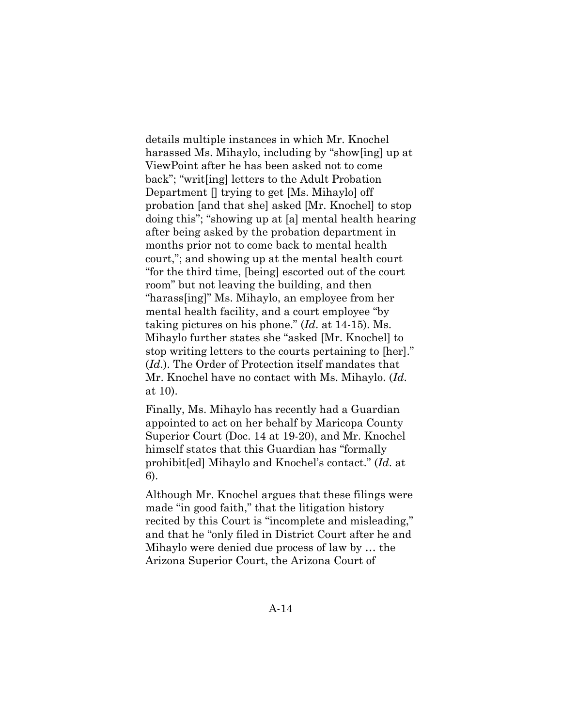details multiple instances in which Mr. Knochel harassed Ms. Mihaylo, including by "show[ing] up at ViewPoint after he has been asked not to come back"; "writ[ing] letters to the Adult Probation Department [] trying to get [Ms. Mihaylo] off probation [and that she] asked [Mr. Knochel] to stop doing this"; "showing up at [a] mental health hearing after being asked by the probation department in months prior not to come back to mental health court,"; and showing up at the mental health court "for the third time, [being] escorted out of the court room" but not leaving the building, and then "harass[ing]" Ms. Mihaylo, an employee from her mental health facility, and a court employee "by taking pictures on his phone." (*Id*. at 14-15). Ms. Mihaylo further states she "asked [Mr. Knochel] to stop writing letters to the courts pertaining to [her]." (*Id*.). The Order of Protection itself mandates that Mr. Knochel have no contact with Ms. Mihaylo. (*Id*. at 10).

Finally, Ms. Mihaylo has recently had a Guardian appointed to act on her behalf by Maricopa County Superior Court (Doc. 14 at 19-20), and Mr. Knochel himself states that this Guardian has "formally prohibit[ed] Mihaylo and Knochel's contact." (*Id*. at 6).

Although Mr. Knochel argues that these filings were made "in good faith," that the litigation history recited by this Court is "incomplete and misleading," and that he "only filed in District Court after he and Mihaylo were denied due process of law by … the Arizona Superior Court, the Arizona Court of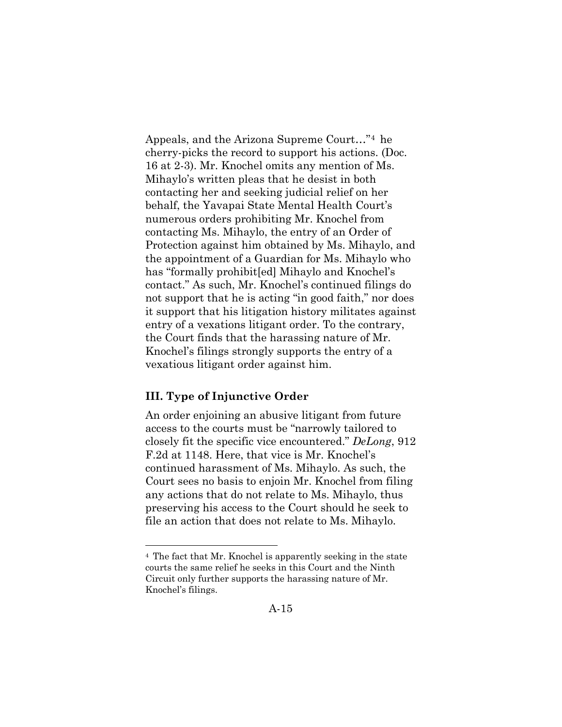Appeals, and the Arizona Supreme Court…"[4](#page-38-0) he cherry-picks the record to support his actions. (Doc. 16 at 2-3). Mr. Knochel omits any mention of Ms. Mihaylo's written pleas that he desist in both contacting her and seeking judicial relief on her behalf, the Yavapai State Mental Health Court's numerous orders prohibiting Mr. Knochel from contacting Ms. Mihaylo, the entry of an Order of Protection against him obtained by Ms. Mihaylo, and the appointment of a Guardian for Ms. Mihaylo who has "formally prohibit[ed] Mihaylo and Knochel's contact." As such, Mr. Knochel's continued filings do not support that he is acting "in good faith," nor does it support that his litigation history militates against entry of a vexations litigant order. To the contrary, the Court finds that the harassing nature of Mr. Knochel's filings strongly supports the entry of a vexatious litigant order against him.

### **III. Type of Injunctive Order**

An order enjoining an abusive litigant from future access to the courts must be "narrowly tailored to closely fit the specific vice encountered." *DeLong*, 912 F.2d at 1148. Here, that vice is Mr. Knochel's continued harassment of Ms. Mihaylo. As such, the Court sees no basis to enjoin Mr. Knochel from filing any actions that do not relate to Ms. Mihaylo, thus preserving his access to the Court should he seek to file an action that does not relate to Ms. Mihaylo.

<span id="page-38-0"></span><sup>4</sup> The fact that Mr. Knochel is apparently seeking in the state courts the same relief he seeks in this Court and the Ninth Circuit only further supports the harassing nature of Mr. Knochel's filings.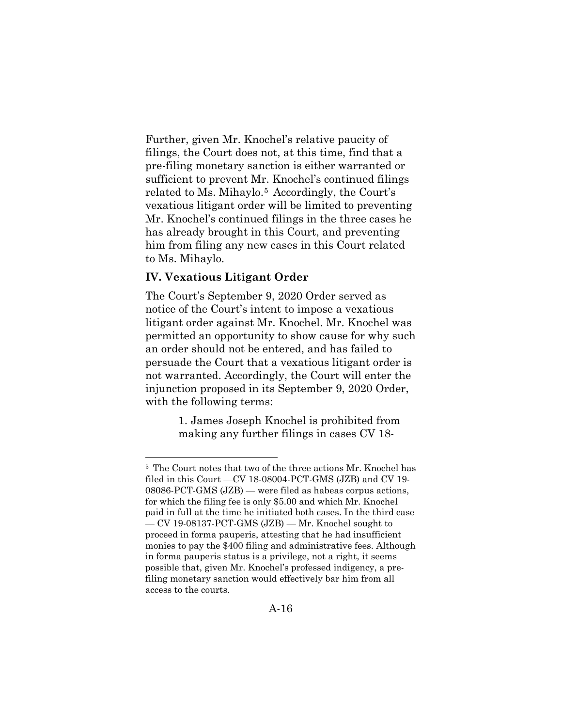Further, given Mr. Knochel's relative paucity of filings, the Court does not, at this time, find that a pre-filing monetary sanction is either warranted or sufficient to prevent Mr. Knochel's continued filings related to Ms. Mihaylo.[5](#page-39-0) Accordingly, the Court's vexatious litigant order will be limited to preventing Mr. Knochel's continued filings in the three cases he has already brought in this Court, and preventing him from filing any new cases in this Court related to Ms. Mihaylo.

### **IV. Vexatious Litigant Order**

The Court's September 9, 2020 Order served as notice of the Court's intent to impose a vexatious litigant order against Mr. Knochel. Mr. Knochel was permitted an opportunity to show cause for why such an order should not be entered, and has failed to persuade the Court that a vexatious litigant order is not warranted. Accordingly, the Court will enter the injunction proposed in its September 9, 2020 Order, with the following terms:

> 1. James Joseph Knochel is prohibited from making any further filings in cases CV 18-

<span id="page-39-0"></span><sup>5</sup> The Court notes that two of the three actions Mr. Knochel has filed in this Court —CV 18-08004-PCT-GMS (JZB) and CV 19- 08086-PCT-GMS (JZB) — were filed as habeas corpus actions, for which the filing fee is only \$5.00 and which Mr. Knochel paid in full at the time he initiated both cases. In the third case — CV 19-08137-PCT-GMS (JZB) — Mr. Knochel sought to proceed in forma pauperis, attesting that he had insufficient monies to pay the \$400 filing and administrative fees. Although in forma pauperis status is a privilege, not a right, it seems possible that, given Mr. Knochel's professed indigency, a prefiling monetary sanction would effectively bar him from all access to the courts.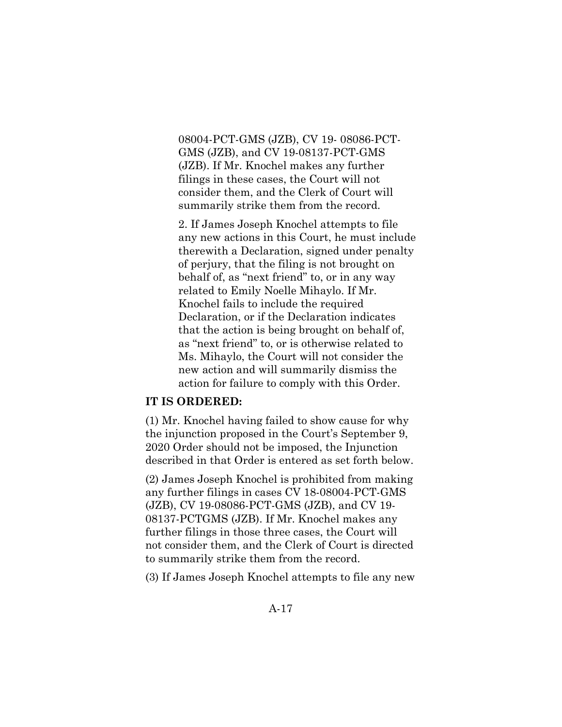08004-PCT-GMS (JZB), CV 19- 08086-PCT-GMS (JZB), and CV 19-08137-PCT-GMS (JZB). If Mr. Knochel makes any further filings in these cases, the Court will not consider them, and the Clerk of Court will summarily strike them from the record.

2. If James Joseph Knochel attempts to file any new actions in this Court, he must include therewith a Declaration, signed under penalty of perjury, that the filing is not brought on behalf of, as "next friend" to, or in any way related to Emily Noelle Mihaylo. If Mr. Knochel fails to include the required Declaration, or if the Declaration indicates that the action is being brought on behalf of, as "next friend" to, or is otherwise related to Ms. Mihaylo, the Court will not consider the new action and will summarily dismiss the action for failure to comply with this Order.

### **IT IS ORDERED:**

(1) Mr. Knochel having failed to show cause for why the injunction proposed in the Court's September 9, 2020 Order should not be imposed, the Injunction described in that Order is entered as set forth below.

(2) James Joseph Knochel is prohibited from making any further filings in cases CV 18-08004-PCT-GMS (JZB), CV 19-08086-PCT-GMS (JZB), and CV 19- 08137-PCTGMS (JZB). If Mr. Knochel makes any further filings in those three cases, the Court will not consider them, and the Clerk of Court is directed to summarily strike them from the record.

(3) If James Joseph Knochel attempts to file any new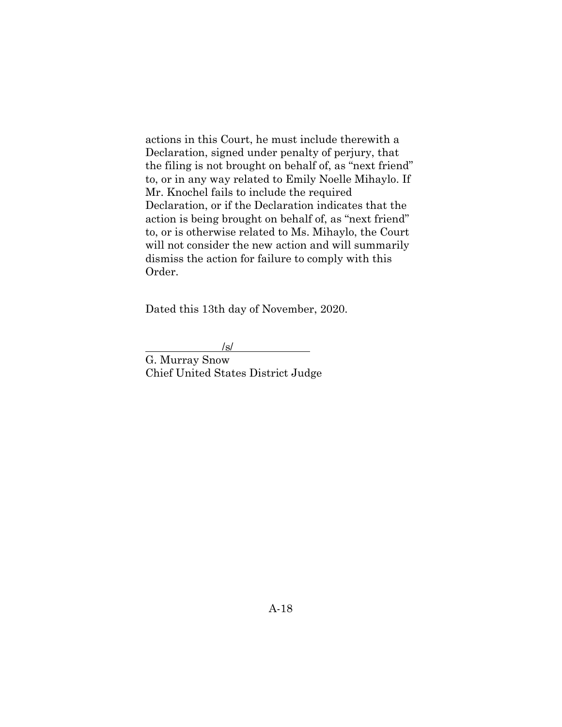actions in this Court, he must include therewith a Declaration, signed under penalty of perjury, that the filing is not brought on behalf of, as "next friend" to, or in any way related to Emily Noelle Mihaylo. If Mr. Knochel fails to include the required Declaration, or if the Declaration indicates that the action is being brought on behalf of, as "next friend" to, or is otherwise related to Ms. Mihaylo, the Court will not consider the new action and will summarily dismiss the action for failure to comply with this Order.

Dated this 13th day of November, 2020.

 /s/ G. Murray Snow Chief United States District Judge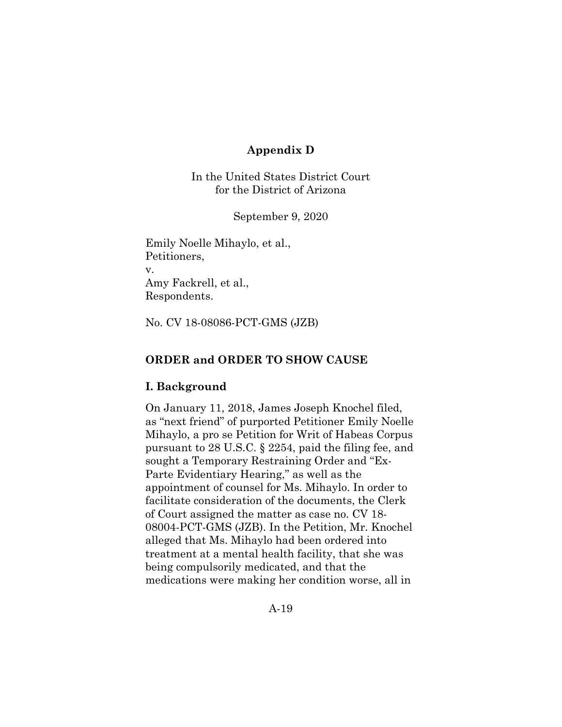# **Appendix D**

In the United States District Court for the District of Arizona

September 9, 2020

Emily Noelle Mihaylo, et al., Petitioners, v. Amy Fackrell, et al., Respondents.

No. CV 18-08086-PCT-GMS (JZB)

#### **ORDER and ORDER TO SHOW CAUSE**

#### **I. Background**

On January 11, 2018, James Joseph Knochel filed, as "next friend" of purported Petitioner Emily Noelle Mihaylo, a pro se Petition for Writ of Habeas Corpus pursuant to 28 U.S.C. § 2254, paid the filing fee, and sought a Temporary Restraining Order and "Ex-Parte Evidentiary Hearing," as well as the appointment of counsel for Ms. Mihaylo. In order to facilitate consideration of the documents, the Clerk of Court assigned the matter as case no. CV 18- 08004-PCT-GMS (JZB). In the Petition, Mr. Knochel alleged that Ms. Mihaylo had been ordered into treatment at a mental health facility, that she was being compulsorily medicated, and that the medications were making her condition worse, all in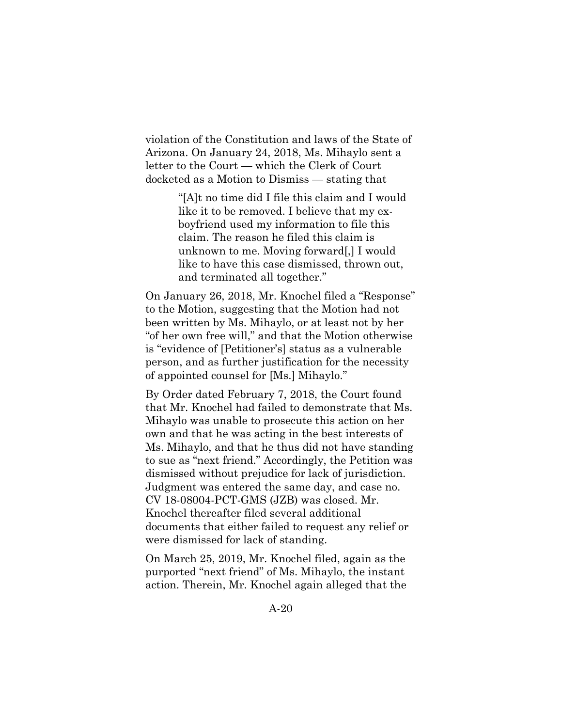violation of the Constitution and laws of the State of Arizona. On January 24, 2018, Ms. Mihaylo sent a letter to the Court — which the Clerk of Court docketed as a Motion to Dismiss — stating that

> "[A]t no time did I file this claim and I would like it to be removed. I believe that my exboyfriend used my information to file this claim. The reason he filed this claim is unknown to me. Moving forward[,] I would like to have this case dismissed, thrown out, and terminated all together."

On January 26, 2018, Mr. Knochel filed a "Response" to the Motion, suggesting that the Motion had not been written by Ms. Mihaylo, or at least not by her "of her own free will," and that the Motion otherwise is "evidence of [Petitioner's] status as a vulnerable person, and as further justification for the necessity of appointed counsel for [Ms.] Mihaylo."

By Order dated February 7, 2018, the Court found that Mr. Knochel had failed to demonstrate that Ms. Mihaylo was unable to prosecute this action on her own and that he was acting in the best interests of Ms. Mihaylo, and that he thus did not have standing to sue as "next friend." Accordingly, the Petition was dismissed without prejudice for lack of jurisdiction. Judgment was entered the same day, and case no. CV 18-08004-PCT-GMS (JZB) was closed. Mr. Knochel thereafter filed several additional documents that either failed to request any relief or were dismissed for lack of standing.

On March 25, 2019, Mr. Knochel filed, again as the purported "next friend" of Ms. Mihaylo, the instant action. Therein, Mr. Knochel again alleged that the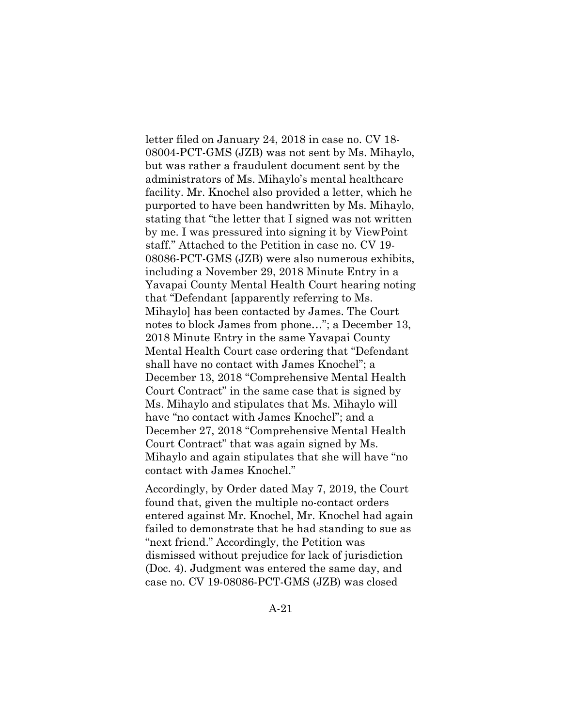letter filed on January 24, 2018 in case no. CV 18- 08004-PCT-GMS (JZB) was not sent by Ms. Mihaylo, but was rather a fraudulent document sent by the administrators of Ms. Mihaylo's mental healthcare facility. Mr. Knochel also provided a letter, which he purported to have been handwritten by Ms. Mihaylo, stating that "the letter that I signed was not written by me. I was pressured into signing it by ViewPoint staff." Attached to the Petition in case no. CV 19- 08086-PCT-GMS (JZB) were also numerous exhibits, including a November 29, 2018 Minute Entry in a Yavapai County Mental Health Court hearing noting that "Defendant [apparently referring to Ms. Mihaylo] has been contacted by James. The Court notes to block James from phone…"; a December 13, 2018 Minute Entry in the same Yavapai County Mental Health Court case ordering that "Defendant shall have no contact with James Knochel"; a December 13, 2018 "Comprehensive Mental Health Court Contract" in the same case that is signed by Ms. Mihaylo and stipulates that Ms. Mihaylo will have "no contact with James Knochel"; and a December 27, 2018 "Comprehensive Mental Health Court Contract" that was again signed by Ms. Mihaylo and again stipulates that she will have "no contact with James Knochel."

Accordingly, by Order dated May 7, 2019, the Court found that, given the multiple no-contact orders entered against Mr. Knochel, Mr. Knochel had again failed to demonstrate that he had standing to sue as "next friend." Accordingly, the Petition was dismissed without prejudice for lack of jurisdiction (Doc. 4). Judgment was entered the same day, and case no. CV 19-08086-PCT-GMS (JZB) was closed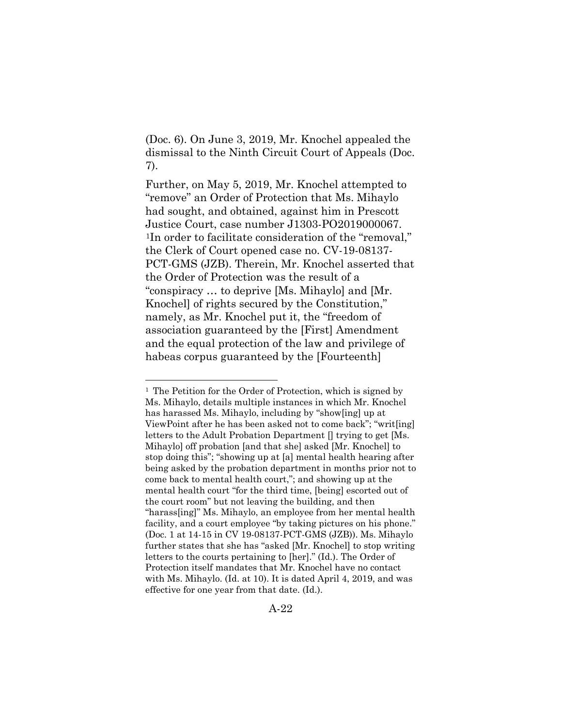(Doc. 6). On June 3, 2019, Mr. Knochel appealed the dismissal to the Ninth Circuit Court of Appeals (Doc. 7).

Further, on May 5, 2019, Mr. Knochel attempted to "remove" an Order of Protection that Ms. Mihaylo had sought, and obtained, against him in Prescott Justice Court, case number J1303-PO2019000067. [1](#page-45-0)In order to facilitate consideration of the "removal," the Clerk of Court opened case no. CV-19-08137- PCT-GMS (JZB). Therein, Mr. Knochel asserted that the Order of Protection was the result of a "conspiracy … to deprive [Ms. Mihaylo] and [Mr. Knochel] of rights secured by the Constitution," namely, as Mr. Knochel put it, the "freedom of association guaranteed by the [First] Amendment and the equal protection of the law and privilege of habeas corpus guaranteed by the [Fourteenth]

<span id="page-45-0"></span><sup>&</sup>lt;sup>1</sup> The Petition for the Order of Protection, which is signed by Ms. Mihaylo, details multiple instances in which Mr. Knochel has harassed Ms. Mihaylo, including by "show[ing] up at ViewPoint after he has been asked not to come back"; "writ[ing] letters to the Adult Probation Department [] trying to get [Ms. Mihaylo] off probation [and that she] asked [Mr. Knochel] to stop doing this"; "showing up at [a] mental health hearing after being asked by the probation department in months prior not to come back to mental health court,"; and showing up at the mental health court "for the third time, [being] escorted out of the court room" but not leaving the building, and then "harass[ing]" Ms. Mihaylo, an employee from her mental health facility, and a court employee "by taking pictures on his phone." (Doc. 1 at 14-15 in CV 19-08137-PCT-GMS (JZB)). Ms. Mihaylo further states that she has "asked [Mr. Knochel] to stop writing letters to the courts pertaining to [her]." (Id.). The Order of Protection itself mandates that Mr. Knochel have no contact with Ms. Mihaylo. (Id. at 10). It is dated April 4, 2019, and was effective for one year from that date. (Id.).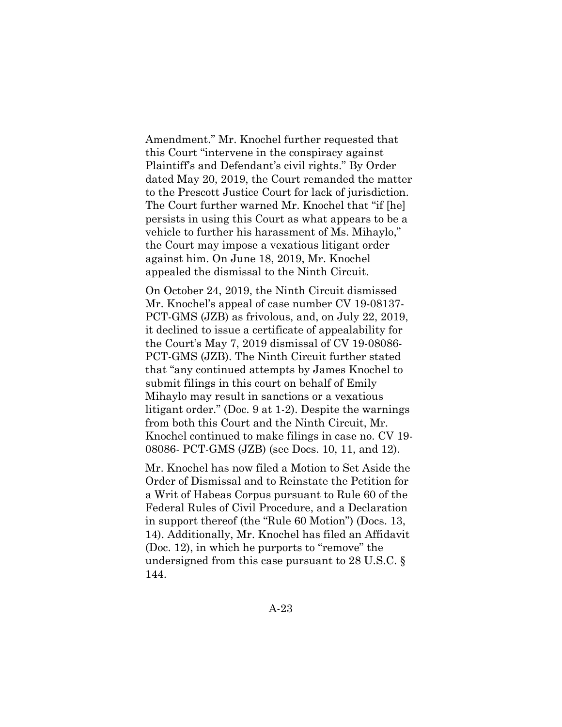Amendment." Mr. Knochel further requested that this Court "intervene in the conspiracy against Plaintiff's and Defendant's civil rights." By Order dated May 20, 2019, the Court remanded the matter to the Prescott Justice Court for lack of jurisdiction. The Court further warned Mr. Knochel that "if [he] persists in using this Court as what appears to be a vehicle to further his harassment of Ms. Mihaylo," the Court may impose a vexatious litigant order against him. On June 18, 2019, Mr. Knochel appealed the dismissal to the Ninth Circuit.

On October 24, 2019, the Ninth Circuit dismissed Mr. Knochel's appeal of case number CV 19-08137- PCT-GMS (JZB) as frivolous, and, on July 22, 2019, it declined to issue a certificate of appealability for the Court's May 7, 2019 dismissal of CV 19-08086- PCT-GMS (JZB). The Ninth Circuit further stated that "any continued attempts by James Knochel to submit filings in this court on behalf of Emily Mihaylo may result in sanctions or a vexatious litigant order." (Doc. 9 at 1-2). Despite the warnings from both this Court and the Ninth Circuit, Mr. Knochel continued to make filings in case no. CV 19- 08086- PCT-GMS (JZB) (see Docs. 10, 11, and 12).

Mr. Knochel has now filed a Motion to Set Aside the Order of Dismissal and to Reinstate the Petition for a Writ of Habeas Corpus pursuant to Rule 60 of the Federal Rules of Civil Procedure, and a Declaration in support thereof (the "Rule 60 Motion") (Docs. 13, 14). Additionally, Mr. Knochel has filed an Affidavit (Doc. 12), in which he purports to "remove" the undersigned from this case pursuant to 28 U.S.C. § 144.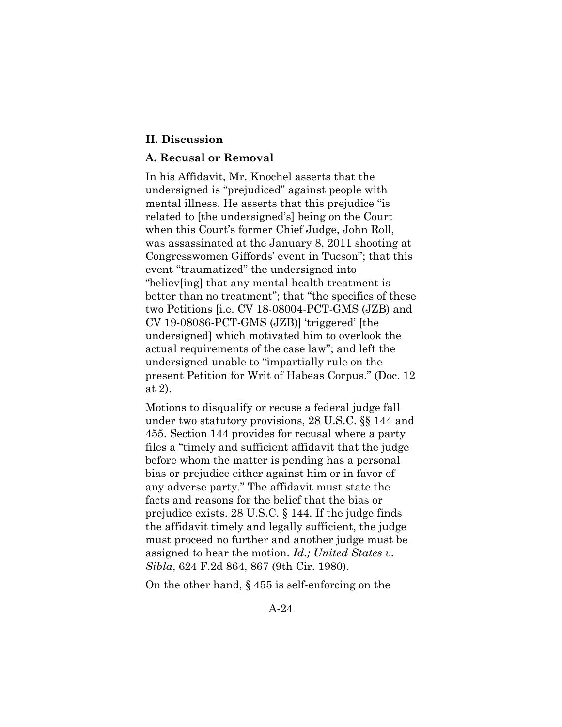#### **II. Discussion**

### **A. Recusal or Removal**

In his Affidavit, Mr. Knochel asserts that the undersigned is "prejudiced" against people with mental illness. He asserts that this prejudice "is related to [the undersigned's] being on the Court when this Court's former Chief Judge, John Roll, was assassinated at the January 8, 2011 shooting at Congresswomen Giffords' event in Tucson"; that this event "traumatized" the undersigned into "believ[ing] that any mental health treatment is better than no treatment"; that "the specifics of these two Petitions [i.e. CV 18-08004-PCT-GMS (JZB) and CV 19-08086-PCT-GMS (JZB)] 'triggered' [the undersigned] which motivated him to overlook the actual requirements of the case law"; and left the undersigned unable to "impartially rule on the present Petition for Writ of Habeas Corpus." (Doc. 12 at 2).

Motions to disqualify or recuse a federal judge fall under two statutory provisions, 28 U.S.C. §§ 144 and 455. Section 144 provides for recusal where a party files a "timely and sufficient affidavit that the judge before whom the matter is pending has a personal bias or prejudice either against him or in favor of any adverse party." The affidavit must state the facts and reasons for the belief that the bias or prejudice exists. 28 U.S.C. § 144. If the judge finds the affidavit timely and legally sufficient, the judge must proceed no further and another judge must be assigned to hear the motion. *Id.; United States v. Sibla*, 624 F.2d 864, 867 (9th Cir. 1980).

On the other hand, § 455 is self-enforcing on the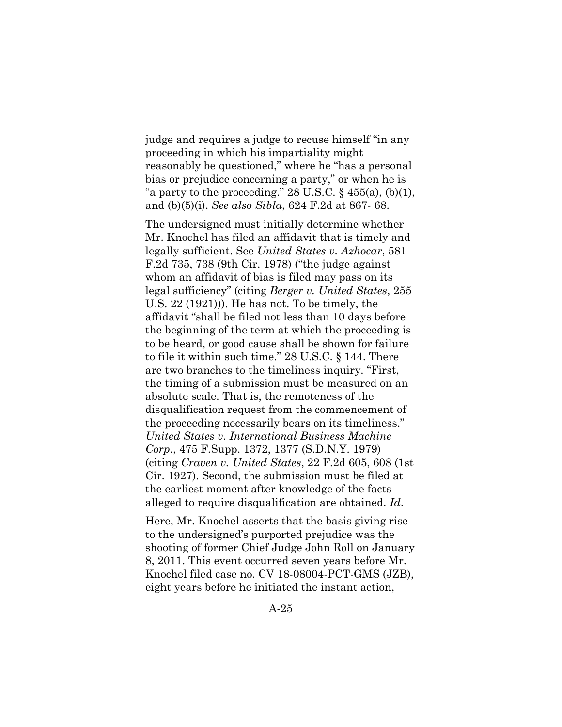judge and requires a judge to recuse himself "in any proceeding in which his impartiality might reasonably be questioned," where he "has a personal bias or prejudice concerning a party," or when he is "a party to the proceeding." 28 U.S.C.  $\S$  455(a), (b)(1), and (b)(5)(i). *See also Sibla*, 624 F.2d at 867- 68.

The undersigned must initially determine whether Mr. Knochel has filed an affidavit that is timely and legally sufficient. See *United States v. Azhocar*, 581 F.2d 735, 738 (9th Cir. 1978) ("the judge against whom an affidavit of bias is filed may pass on its legal sufficiency" (citing *Berger v. United States*, 255 U.S. 22 (1921))). He has not. To be timely, the affidavit "shall be filed not less than 10 days before the beginning of the term at which the proceeding is to be heard, or good cause shall be shown for failure to file it within such time." 28 U.S.C. § 144. There are two branches to the timeliness inquiry. "First, the timing of a submission must be measured on an absolute scale. That is, the remoteness of the disqualification request from the commencement of the proceeding necessarily bears on its timeliness." *United States v. International Business Machine Corp.*, 475 F.Supp. 1372, 1377 (S.D.N.Y. 1979) (citing *Craven v. United States*, 22 F.2d 605, 608 (1st Cir. 1927). Second, the submission must be filed at the earliest moment after knowledge of the facts alleged to require disqualification are obtained. *Id*.

Here, Mr. Knochel asserts that the basis giving rise to the undersigned's purported prejudice was the shooting of former Chief Judge John Roll on January 8, 2011. This event occurred seven years before Mr. Knochel filed case no. CV 18-08004-PCT-GMS (JZB), eight years before he initiated the instant action,

A-25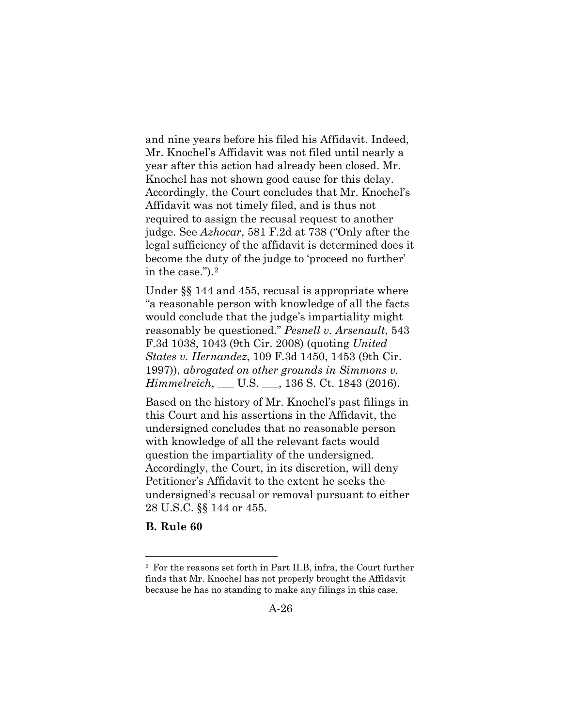and nine years before his filed his Affidavit. Indeed, Mr. Knochel's Affidavit was not filed until nearly a year after this action had already been closed. Mr. Knochel has not shown good cause for this delay. Accordingly, the Court concludes that Mr. Knochel's Affidavit was not timely filed, and is thus not required to assign the recusal request to another judge. See *Azhocar*, 581 F.2d at 738 ("Only after the legal sufficiency of the affidavit is determined does it become the duty of the judge to 'proceed no further' in the case.").[2](#page-49-0)

Under §§ 144 and 455, recusal is appropriate where "a reasonable person with knowledge of all the facts would conclude that the judge's impartiality might reasonably be questioned." *Pesnell v. Arsenault*, 543 F.3d 1038, 1043 (9th Cir. 2008) (quoting *United States v. Hernandez*, 109 F.3d 1450, 1453 (9th Cir. 1997)), *abrogated on other grounds in Simmons v. Himmelreich*, \_\_\_ U.S. \_\_\_, 136 S. Ct. 1843 (2016).

Based on the history of Mr. Knochel's past filings in this Court and his assertions in the Affidavit, the undersigned concludes that no reasonable person with knowledge of all the relevant facts would question the impartiality of the undersigned. Accordingly, the Court, in its discretion, will deny Petitioner's Affidavit to the extent he seeks the undersigned's recusal or removal pursuant to either 28 U.S.C. §§ 144 or 455.

#### **B. Rule 60**

<span id="page-49-0"></span><sup>2</sup> For the reasons set forth in Part II.B, infra, the Court further finds that Mr. Knochel has not properly brought the Affidavit because he has no standing to make any filings in this case.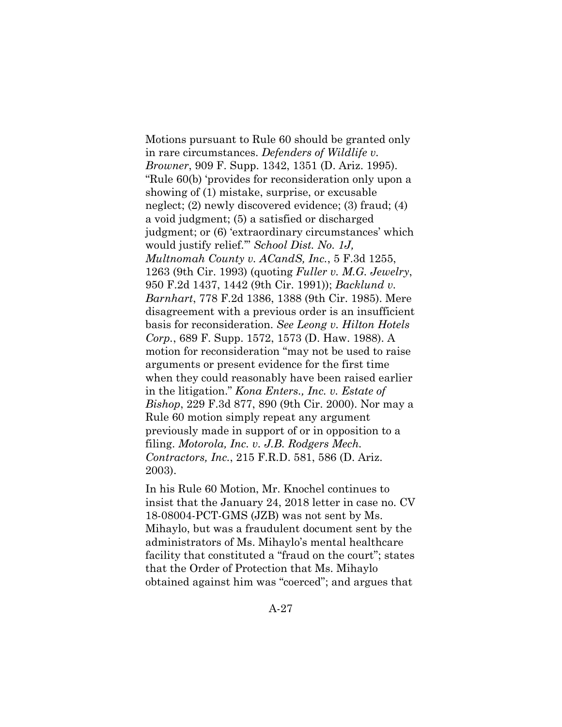Motions pursuant to Rule 60 should be granted only in rare circumstances. *Defenders of Wildlife v. Browner*, 909 F. Supp. 1342, 1351 (D. Ariz. 1995). "Rule 60(b) 'provides for reconsideration only upon a showing of (1) mistake, surprise, or excusable neglect; (2) newly discovered evidence; (3) fraud; (4) a void judgment; (5) a satisfied or discharged judgment; or (6) 'extraordinary circumstances' which would justify relief.'" *School Dist. No. 1J, Multnomah County v. ACandS, Inc.*, 5 F.3d 1255, 1263 (9th Cir. 1993) (quoting *Fuller v. M.G. Jewelry*, 950 F.2d 1437, 1442 (9th Cir. 1991)); *Backlund v. Barnhart*, 778 F.2d 1386, 1388 (9th Cir. 1985). Mere disagreement with a previous order is an insufficient basis for reconsideration. *See Leong v. Hilton Hotels Corp.*, 689 F. Supp. 1572, 1573 (D. Haw. 1988). A motion for reconsideration "may not be used to raise arguments or present evidence for the first time when they could reasonably have been raised earlier in the litigation." *Kona Enters., Inc. v. Estate of Bishop*, 229 F.3d 877, 890 (9th Cir. 2000). Nor may a Rule 60 motion simply repeat any argument previously made in support of or in opposition to a filing. *Motorola, Inc. v. J.B. Rodgers Mech. Contractors, Inc.*, 215 F.R.D. 581, 586 (D. Ariz. 2003).

In his Rule 60 Motion, Mr. Knochel continues to insist that the January 24, 2018 letter in case no. CV 18-08004-PCT-GMS (JZB) was not sent by Ms. Mihaylo, but was a fraudulent document sent by the administrators of Ms. Mihaylo's mental healthcare facility that constituted a "fraud on the court"; states that the Order of Protection that Ms. Mihaylo obtained against him was "coerced"; and argues that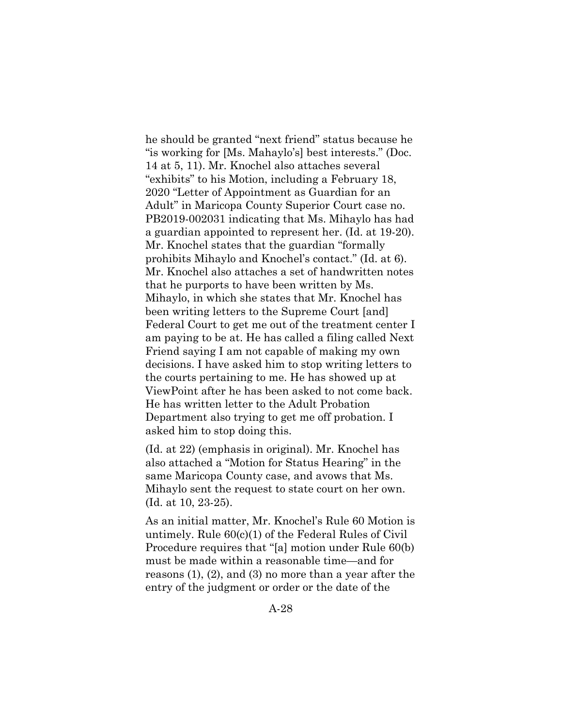he should be granted "next friend" status because he "is working for [Ms. Mahaylo's] best interests." (Doc. 14 at 5, 11). Mr. Knochel also attaches several "exhibits" to his Motion, including a February 18, 2020 "Letter of Appointment as Guardian for an Adult" in Maricopa County Superior Court case no. PB2019-002031 indicating that Ms. Mihaylo has had a guardian appointed to represent her. (Id. at 19-20). Mr. Knochel states that the guardian "formally prohibits Mihaylo and Knochel's contact." (Id. at 6). Mr. Knochel also attaches a set of handwritten notes that he purports to have been written by Ms. Mihaylo, in which she states that Mr. Knochel has been writing letters to the Supreme Court [and] Federal Court to get me out of the treatment center I am paying to be at. He has called a filing called Next Friend saying I am not capable of making my own decisions. I have asked him to stop writing letters to the courts pertaining to me. He has showed up at ViewPoint after he has been asked to not come back. He has written letter to the Adult Probation Department also trying to get me off probation. I asked him to stop doing this.

(Id. at 22) (emphasis in original). Mr. Knochel has also attached a "Motion for Status Hearing" in the same Maricopa County case, and avows that Ms. Mihaylo sent the request to state court on her own. (Id. at 10, 23-25).

As an initial matter, Mr. Knochel's Rule 60 Motion is untimely. Rule 60(c)(1) of the Federal Rules of Civil Procedure requires that "[a] motion under Rule 60(b) must be made within a reasonable time—and for reasons (1), (2), and (3) no more than a year after the entry of the judgment or order or the date of the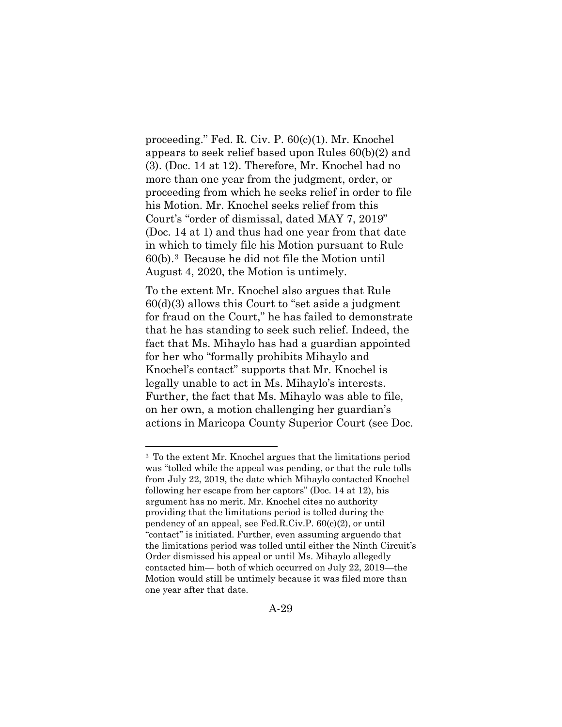proceeding." Fed. R. Civ. P. 60(c)(1). Mr. Knochel appears to seek relief based upon Rules 60(b)(2) and (3). (Doc. 14 at 12). Therefore, Mr. Knochel had no more than one year from the judgment, order, or proceeding from which he seeks relief in order to file his Motion. Mr. Knochel seeks relief from this Court's "order of dismissal, dated MAY 7, 2019" (Doc. 14 at 1) and thus had one year from that date in which to timely file his Motion pursuant to Rule 60(b).[3](#page-52-0) Because he did not file the Motion until August 4, 2020, the Motion is untimely.

To the extent Mr. Knochel also argues that Rule 60(d)(3) allows this Court to "set aside a judgment for fraud on the Court," he has failed to demonstrate that he has standing to seek such relief. Indeed, the fact that Ms. Mihaylo has had a guardian appointed for her who "formally prohibits Mihaylo and Knochel's contact" supports that Mr. Knochel is legally unable to act in Ms. Mihaylo's interests. Further, the fact that Ms. Mihaylo was able to file, on her own, a motion challenging her guardian's actions in Maricopa County Superior Court (see Doc.

<span id="page-52-0"></span><sup>3</sup> To the extent Mr. Knochel argues that the limitations period was "tolled while the appeal was pending, or that the rule tolls from July 22, 2019, the date which Mihaylo contacted Knochel following her escape from her captors" (Doc. 14 at 12), his argument has no merit. Mr. Knochel cites no authority providing that the limitations period is tolled during the pendency of an appeal, see Fed.R.Civ.P. 60(c)(2), or until "contact" is initiated. Further, even assuming arguendo that the limitations period was tolled until either the Ninth Circuit's Order dismissed his appeal or until Ms. Mihaylo allegedly contacted him— both of which occurred on July 22, 2019—the Motion would still be untimely because it was filed more than one year after that date.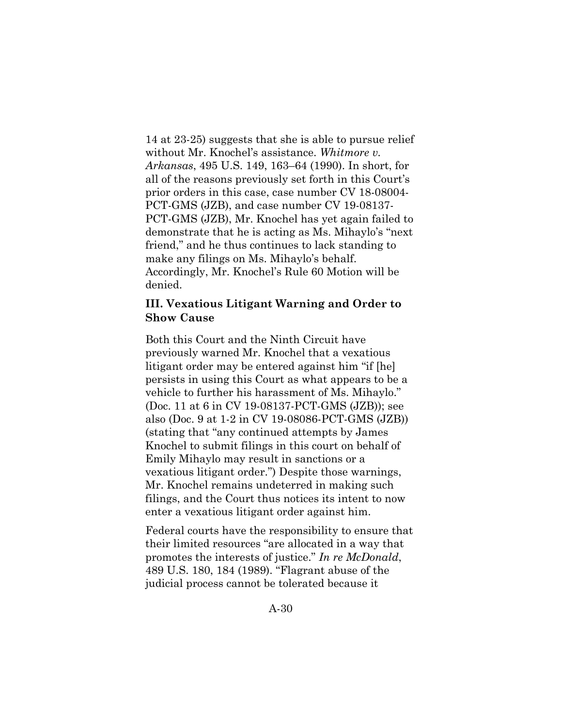14 at 23-25) suggests that she is able to pursue relief without Mr. Knochel's assistance. *Whitmore v. Arkansas*, 495 U.S. 149, 163–64 (1990). In short, for all of the reasons previously set forth in this Court's prior orders in this case, case number CV 18-08004- PCT-GMS (JZB), and case number CV 19-08137- PCT-GMS (JZB), Mr. Knochel has yet again failed to demonstrate that he is acting as Ms. Mihaylo's "next friend," and he thus continues to lack standing to make any filings on Ms. Mihaylo's behalf. Accordingly, Mr. Knochel's Rule 60 Motion will be denied.

# **III. Vexatious Litigant Warning and Order to Show Cause**

Both this Court and the Ninth Circuit have previously warned Mr. Knochel that a vexatious litigant order may be entered against him "if [he] persists in using this Court as what appears to be a vehicle to further his harassment of Ms. Mihaylo." (Doc. 11 at 6 in CV 19-08137-PCT-GMS (JZB)); see also (Doc. 9 at 1-2 in CV 19-08086-PCT-GMS (JZB)) (stating that "any continued attempts by James Knochel to submit filings in this court on behalf of Emily Mihaylo may result in sanctions or a vexatious litigant order.") Despite those warnings, Mr. Knochel remains undeterred in making such filings, and the Court thus notices its intent to now enter a vexatious litigant order against him.

Federal courts have the responsibility to ensure that their limited resources "are allocated in a way that promotes the interests of justice." *In re McDonald*, 489 U.S. 180, 184 (1989). "Flagrant abuse of the judicial process cannot be tolerated because it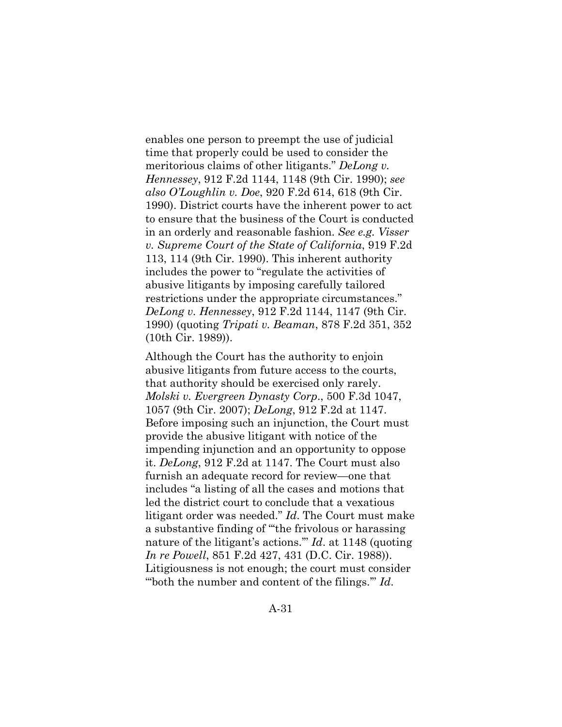enables one person to preempt the use of judicial time that properly could be used to consider the meritorious claims of other litigants." *DeLong v. Hennessey*, 912 F.2d 1144, 1148 (9th Cir. 1990); *see also O'Loughlin v. Doe*, 920 F.2d 614, 618 (9th Cir. 1990). District courts have the inherent power to act to ensure that the business of the Court is conducted in an orderly and reasonable fashion. *See e.g. Visser v. Supreme Court of the State of California*, 919 F.2d 113, 114 (9th Cir. 1990). This inherent authority includes the power to "regulate the activities of abusive litigants by imposing carefully tailored restrictions under the appropriate circumstances." *DeLong v. Hennessey*, 912 F.2d 1144, 1147 (9th Cir. 1990) (quoting *Tripati v. Beaman*, 878 F.2d 351, 352 (10th Cir. 1989)).

Although the Court has the authority to enjoin abusive litigants from future access to the courts, that authority should be exercised only rarely. *Molski v. Evergreen Dynasty Corp*., 500 F.3d 1047, 1057 (9th Cir. 2007); *DeLong*, 912 F.2d at 1147. Before imposing such an injunction, the Court must provide the abusive litigant with notice of the impending injunction and an opportunity to oppose it. *DeLong*, 912 F.2d at 1147. The Court must also furnish an adequate record for review—one that includes "a listing of all the cases and motions that led the district court to conclude that a vexatious litigant order was needed." *Id*. The Court must make a substantive finding of "'the frivolous or harassing nature of the litigant's actions.'" *Id*. at 1148 (quoting *In re Powell*, 851 F.2d 427, 431 (D.C. Cir. 1988)). Litigiousness is not enough; the court must consider "'both the number and content of the filings.'" *Id*.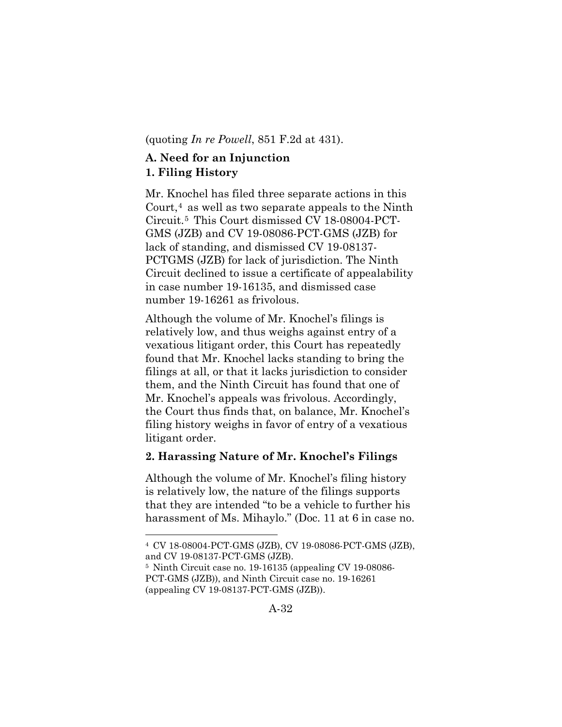(quoting *In re Powell*, 851 F.2d at 431).

# **A. Need for an Injunction 1. Filing History**

Mr. Knochel has filed three separate actions in this Court, $4$  as well as two separate appeals to the Ninth Circuit.[5](#page-55-1) This Court dismissed CV 18-08004-PCT-GMS (JZB) and CV 19-08086-PCT-GMS (JZB) for lack of standing, and dismissed CV 19-08137- PCTGMS (JZB) for lack of jurisdiction. The Ninth Circuit declined to issue a certificate of appealability in case number 19-16135, and dismissed case number 19-16261 as frivolous.

Although the volume of Mr. Knochel's filings is relatively low, and thus weighs against entry of a vexatious litigant order, this Court has repeatedly found that Mr. Knochel lacks standing to bring the filings at all, or that it lacks jurisdiction to consider them, and the Ninth Circuit has found that one of Mr. Knochel's appeals was frivolous. Accordingly, the Court thus finds that, on balance, Mr. Knochel's filing history weighs in favor of entry of a vexatious litigant order.

## **2. Harassing Nature of Mr. Knochel's Filings**

Although the volume of Mr. Knochel's filing history is relatively low, the nature of the filings supports that they are intended "to be a vehicle to further his harassment of Ms. Mihaylo." (Doc. 11 at 6 in case no.

<span id="page-55-0"></span><sup>4</sup> CV 18-08004-PCT-GMS (JZB), CV 19-08086-PCT-GMS (JZB), and CV 19-08137-PCT-GMS (JZB).

<span id="page-55-1"></span><sup>5</sup> Ninth Circuit case no. 19-16135 (appealing CV 19-08086- PCT-GMS (JZB)), and Ninth Circuit case no. 19-16261 (appealing CV 19-08137-PCT-GMS (JZB)).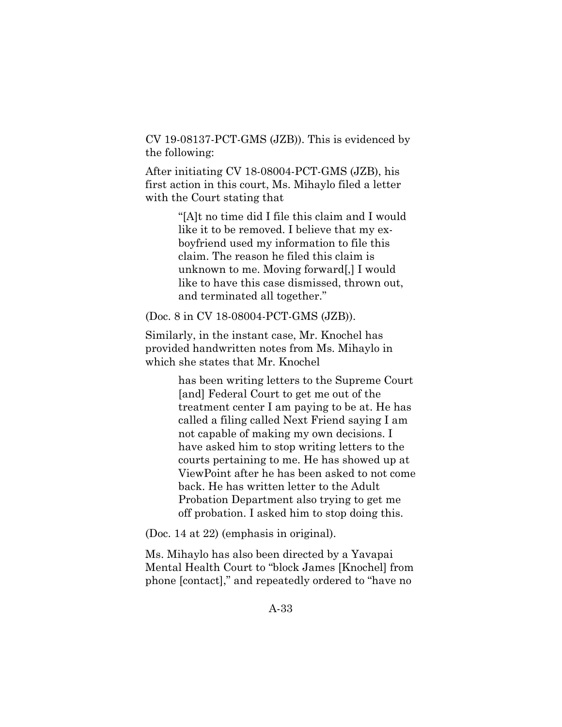CV 19-08137-PCT-GMS (JZB)). This is evidenced by the following:

After initiating CV 18-08004-PCT-GMS (JZB), his first action in this court, Ms. Mihaylo filed a letter with the Court stating that

> "[A]t no time did I file this claim and I would like it to be removed. I believe that my exboyfriend used my information to file this claim. The reason he filed this claim is unknown to me. Moving forward[,] I would like to have this case dismissed, thrown out, and terminated all together."

(Doc. 8 in CV 18-08004-PCT-GMS (JZB)).

Similarly, in the instant case, Mr. Knochel has provided handwritten notes from Ms. Mihaylo in which she states that Mr. Knochel

> has been writing letters to the Supreme Court [and] Federal Court to get me out of the treatment center I am paying to be at. He has called a filing called Next Friend saying I am not capable of making my own decisions. I have asked him to stop writing letters to the courts pertaining to me. He has showed up at ViewPoint after he has been asked to not come back. He has written letter to the Adult Probation Department also trying to get me off probation. I asked him to stop doing this.

(Doc. 14 at 22) (emphasis in original).

Ms. Mihaylo has also been directed by a Yavapai Mental Health Court to "block James [Knochel] from phone [contact]," and repeatedly ordered to "have no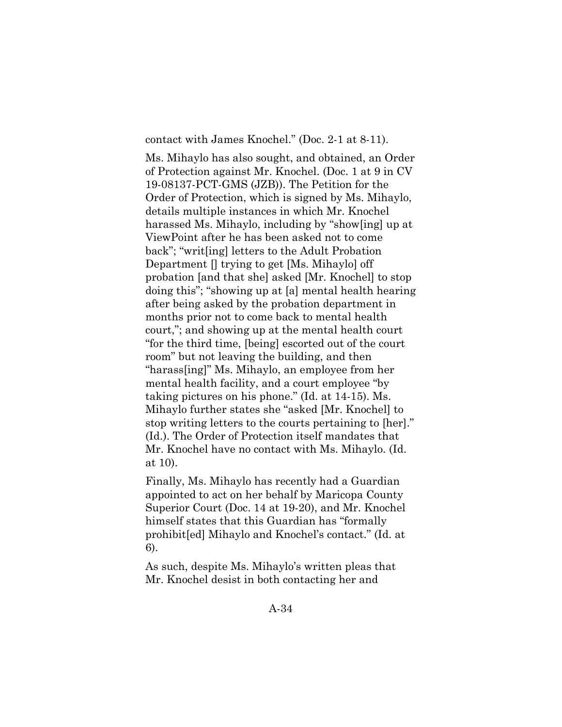contact with James Knochel." (Doc. 2-1 at 8-11).

Ms. Mihaylo has also sought, and obtained, an Order of Protection against Mr. Knochel. (Doc. 1 at 9 in CV 19-08137-PCT-GMS (JZB)). The Petition for the Order of Protection, which is signed by Ms. Mihaylo, details multiple instances in which Mr. Knochel harassed Ms. Mihaylo, including by "show[ing] up at ViewPoint after he has been asked not to come back"; "writ[ing] letters to the Adult Probation Department [] trying to get [Ms. Mihaylo] off probation [and that she] asked [Mr. Knochel] to stop doing this"; "showing up at [a] mental health hearing after being asked by the probation department in months prior not to come back to mental health court,"; and showing up at the mental health court "for the third time, [being] escorted out of the court room" but not leaving the building, and then "harass[ing]" Ms. Mihaylo, an employee from her mental health facility, and a court employee "by taking pictures on his phone." (Id. at 14-15). Ms. Mihaylo further states she "asked [Mr. Knochel] to stop writing letters to the courts pertaining to [her]." (Id.). The Order of Protection itself mandates that Mr. Knochel have no contact with Ms. Mihaylo. (Id. at 10).

Finally, Ms. Mihaylo has recently had a Guardian appointed to act on her behalf by Maricopa County Superior Court (Doc. 14 at 19-20), and Mr. Knochel himself states that this Guardian has "formally prohibit[ed] Mihaylo and Knochel's contact." (Id. at 6).

As such, despite Ms. Mihaylo's written pleas that Mr. Knochel desist in both contacting her and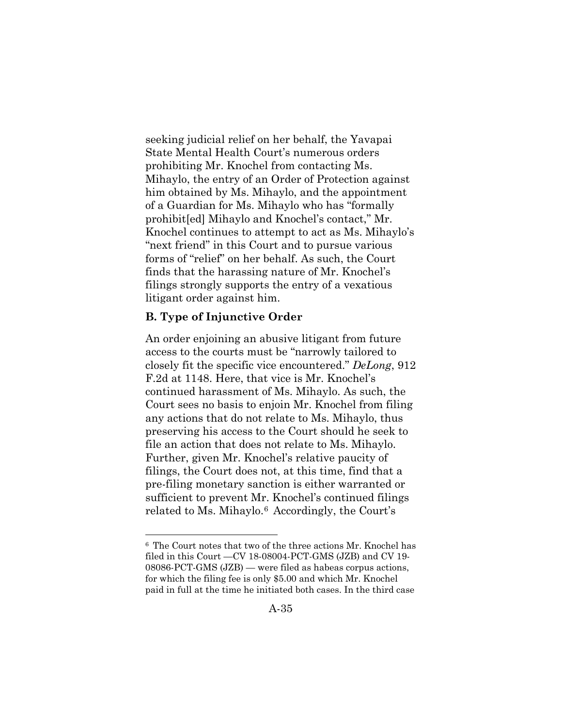seeking judicial relief on her behalf, the Yavapai State Mental Health Court's numerous orders prohibiting Mr. Knochel from contacting Ms. Mihaylo, the entry of an Order of Protection against him obtained by Ms. Mihaylo, and the appointment of a Guardian for Ms. Mihaylo who has "formally prohibit[ed] Mihaylo and Knochel's contact," Mr. Knochel continues to attempt to act as Ms. Mihaylo's "next friend" in this Court and to pursue various forms of "relief" on her behalf. As such, the Court finds that the harassing nature of Mr. Knochel's filings strongly supports the entry of a vexatious litigant order against him.

### **B. Type of Injunctive Order**

An order enjoining an abusive litigant from future access to the courts must be "narrowly tailored to closely fit the specific vice encountered." *DeLong*, 912 F.2d at 1148. Here, that vice is Mr. Knochel's continued harassment of Ms. Mihaylo. As such, the Court sees no basis to enjoin Mr. Knochel from filing any actions that do not relate to Ms. Mihaylo, thus preserving his access to the Court should he seek to file an action that does not relate to Ms. Mihaylo. Further, given Mr. Knochel's relative paucity of filings, the Court does not, at this time, find that a pre-filing monetary sanction is either warranted or sufficient to prevent Mr. Knochel's continued filings related to Ms. Mihaylo.[6](#page-58-0) Accordingly, the Court's

<span id="page-58-0"></span><sup>6</sup> The Court notes that two of the three actions Mr. Knochel has filed in this Court —CV 18-08004-PCT-GMS (JZB) and CV 19- 08086-PCT-GMS (JZB) — were filed as habeas corpus actions, for which the filing fee is only \$5.00 and which Mr. Knochel paid in full at the time he initiated both cases. In the third case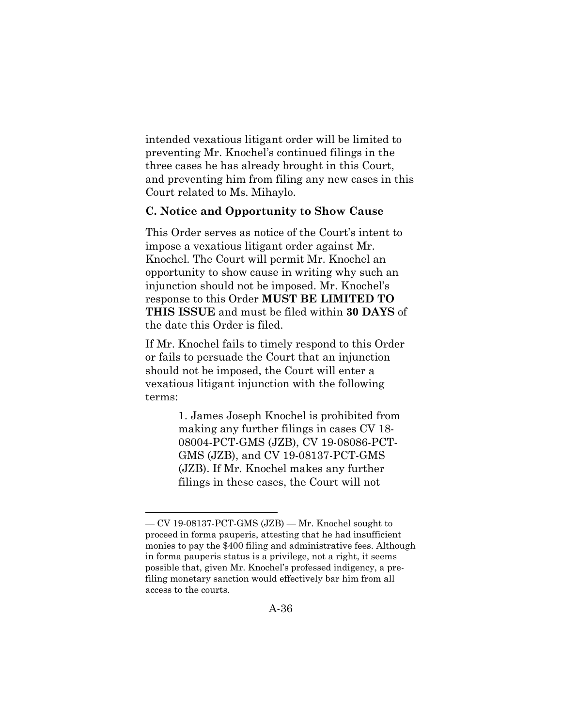intended vexatious litigant order will be limited to preventing Mr. Knochel's continued filings in the three cases he has already brought in this Court, and preventing him from filing any new cases in this Court related to Ms. Mihaylo.

# **C. Notice and Opportunity to Show Cause**

This Order serves as notice of the Court's intent to impose a vexatious litigant order against Mr. Knochel. The Court will permit Mr. Knochel an opportunity to show cause in writing why such an injunction should not be imposed. Mr. Knochel's response to this Order **MUST BE LIMITED TO THIS ISSUE** and must be filed within **30 DAYS** of the date this Order is filed.

If Mr. Knochel fails to timely respond to this Order or fails to persuade the Court that an injunction should not be imposed, the Court will enter a vexatious litigant injunction with the following terms:

> 1. James Joseph Knochel is prohibited from making any further filings in cases CV 18- 08004-PCT-GMS (JZB), CV 19-08086-PCT-GMS (JZB), and CV 19-08137-PCT-GMS (JZB). If Mr. Knochel makes any further filings in these cases, the Court will not

<sup>—</sup> CV 19-08137-PCT-GMS (JZB) — Mr. Knochel sought to proceed in forma pauperis, attesting that he had insufficient monies to pay the \$400 filing and administrative fees. Although in forma pauperis status is a privilege, not a right, it seems possible that, given Mr. Knochel's professed indigency, a prefiling monetary sanction would effectively bar him from all access to the courts.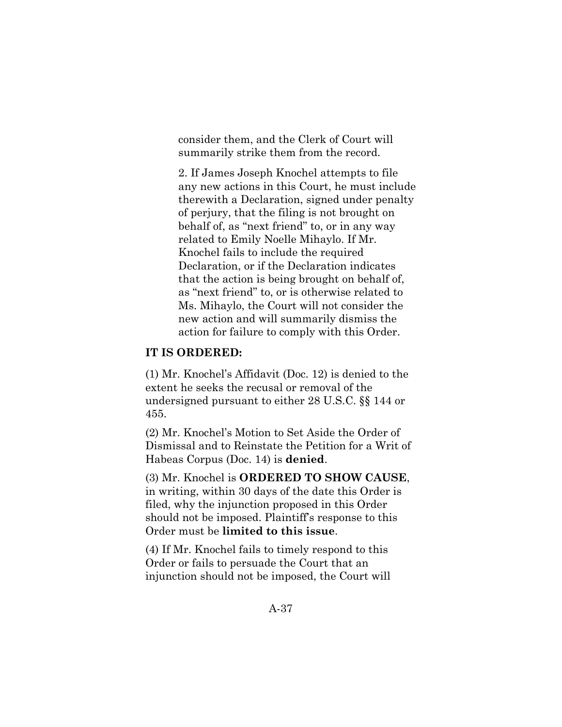consider them, and the Clerk of Court will summarily strike them from the record.

2. If James Joseph Knochel attempts to file any new actions in this Court, he must include therewith a Declaration, signed under penalty of perjury, that the filing is not brought on behalf of, as "next friend" to, or in any way related to Emily Noelle Mihaylo. If Mr. Knochel fails to include the required Declaration, or if the Declaration indicates that the action is being brought on behalf of, as "next friend" to, or is otherwise related to Ms. Mihaylo, the Court will not consider the new action and will summarily dismiss the action for failure to comply with this Order.

## **IT IS ORDERED:**

(1) Mr. Knochel's Affidavit (Doc. 12) is denied to the extent he seeks the recusal or removal of the undersigned pursuant to either 28 U.S.C. §§ 144 or 455.

(2) Mr. Knochel's Motion to Set Aside the Order of Dismissal and to Reinstate the Petition for a Writ of Habeas Corpus (Doc. 14) is **denied**.

(3) Mr. Knochel is **ORDERED TO SHOW CAUSE**, in writing, within 30 days of the date this Order is filed, why the injunction proposed in this Order should not be imposed. Plaintiff's response to this Order must be **limited to this issue**.

(4) If Mr. Knochel fails to timely respond to this Order or fails to persuade the Court that an injunction should not be imposed, the Court will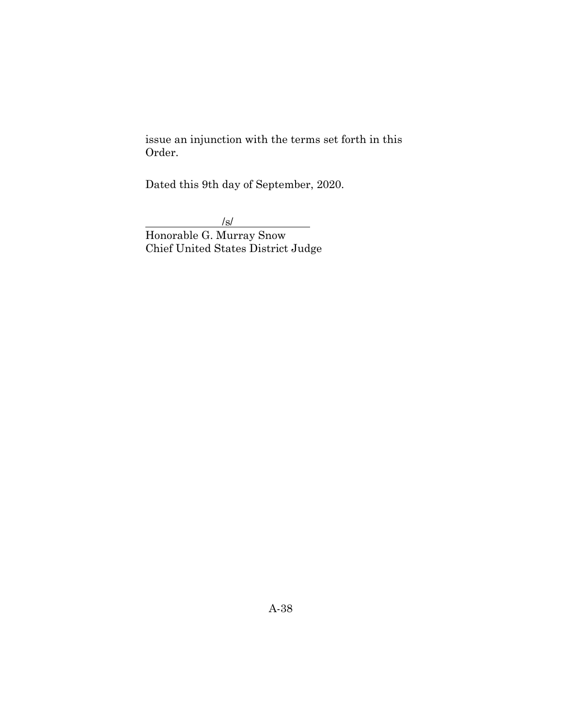issue an injunction with the terms set forth in this Order.

Dated this 9th day of September, 2020.

 $\frac{|s|}{s}$ 

Honorable G. Murray Snow Chief United States District Judge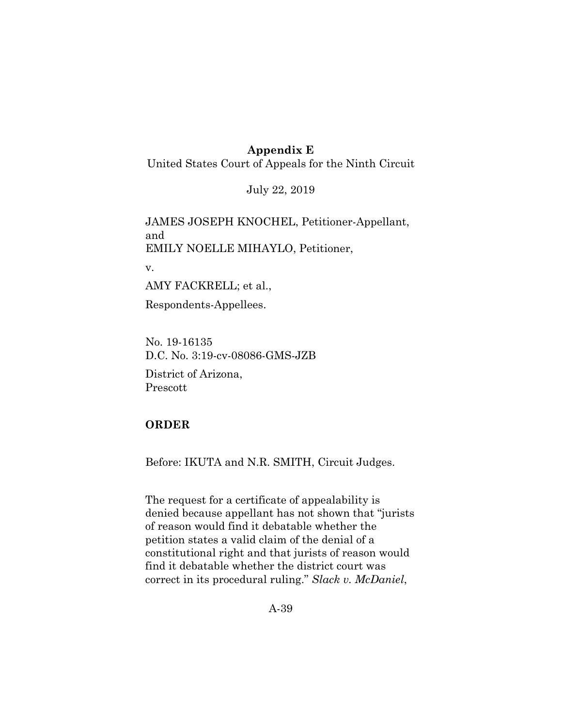# **Appendix E**

United States Court of Appeals for the Ninth Circuit

July 22, 2019

JAMES JOSEPH KNOCHEL, Petitioner-Appellant, and EMILY NOELLE MIHAYLO, Petitioner,

v.

AMY FACKRELL; et al.,

Respondents-Appellees.

No. 19-16135 D.C. No. 3:19-cv-08086-GMS-JZB

District of Arizona, Prescott

# **ORDER**

Before: IKUTA and N.R. SMITH, Circuit Judges.

The request for a certificate of appealability is denied because appellant has not shown that "jurists of reason would find it debatable whether the petition states a valid claim of the denial of a constitutional right and that jurists of reason would find it debatable whether the district court was correct in its procedural ruling." *Slack v. McDaniel*,

A-39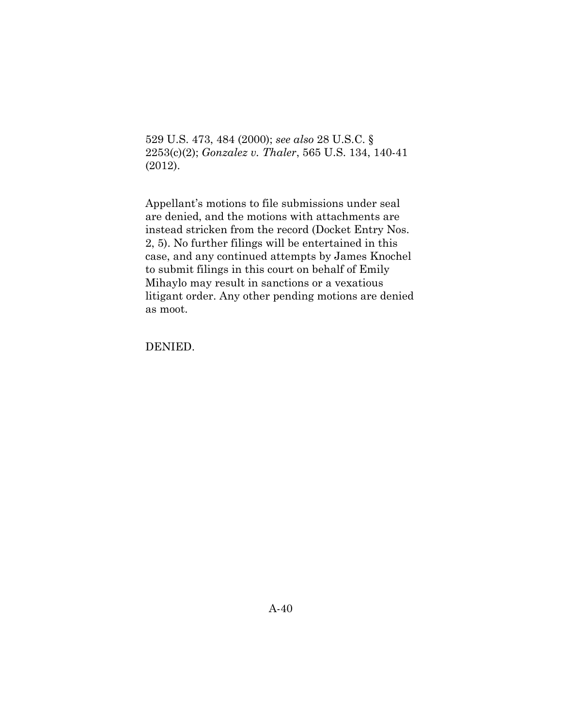529 U.S. 473, 484 (2000); *see also* 28 U.S.C. § 2253(c)(2); *Gonzalez v. Thaler*, 565 U.S. 134, 140-41 (2012).

Appellant's motions to file submissions under seal are denied, and the motions with attachments are instead stricken from the record (Docket Entry Nos. 2, 5). No further filings will be entertained in this case, and any continued attempts by James Knochel to submit filings in this court on behalf of Emily Mihaylo may result in sanctions or a vexatious litigant order. Any other pending motions are denied as moot.

DENIED.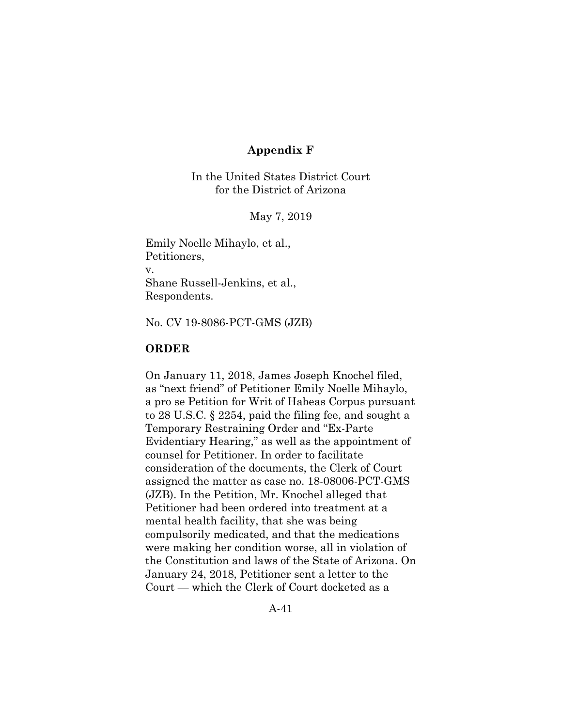## **Appendix F**

In the United States District Court for the District of Arizona

May 7, 2019

Emily Noelle Mihaylo, et al., Petitioners, v. Shane Russell-Jenkins, et al., Respondents.

No. CV 19-8086-PCT-GMS (JZB)

## **ORDER**

On January 11, 2018, James Joseph Knochel filed, as "next friend" of Petitioner Emily Noelle Mihaylo, a pro se Petition for Writ of Habeas Corpus pursuant to 28 U.S.C. § 2254, paid the filing fee, and sought a Temporary Restraining Order and "Ex-Parte Evidentiary Hearing," as well as the appointment of counsel for Petitioner. In order to facilitate consideration of the documents, the Clerk of Court assigned the matter as case no. 18-08006-PCT-GMS (JZB). In the Petition, Mr. Knochel alleged that Petitioner had been ordered into treatment at a mental health facility, that she was being compulsorily medicated, and that the medications were making her condition worse, all in violation of the Constitution and laws of the State of Arizona. On January 24, 2018, Petitioner sent a letter to the Court — which the Clerk of Court docketed as a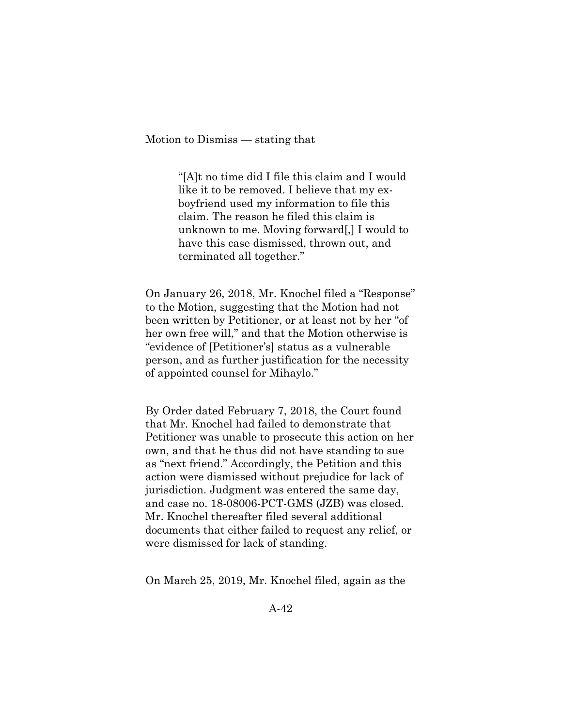Motion to Dismiss — stating that

"[A]t no time did I file this claim and I would like it to be removed. I believe that my exboyfriend used my information to file this claim. The reason he filed this claim is unknown to me. Moving forward[,] I would to have this case dismissed, thrown out, and terminated all together."

On January 26, 2018, Mr. Knochel filed a "Response" to the Motion, suggesting that the Motion had not been written by Petitioner, or at least not by her "of her own free will," and that the Motion otherwise is "evidence of [Petitioner's] status as a vulnerable person, and as further justification for the necessity of appointed counsel for Mihaylo."

By Order dated February 7, 2018, the Court found that Mr. Knochel had failed to demonstrate that Petitioner was unable to prosecute this action on her own, and that he thus did not have standing to sue as "next friend." Accordingly, the Petition and this action were dismissed without prejudice for lack of jurisdiction. Judgment was entered the same day, and case no. 18-08006-PCT-GMS (JZB) was closed. Mr. Knochel thereafter filed several additional documents that either failed to request any relief, or were dismissed for lack of standing.

On March 25, 2019, Mr. Knochel filed, again as the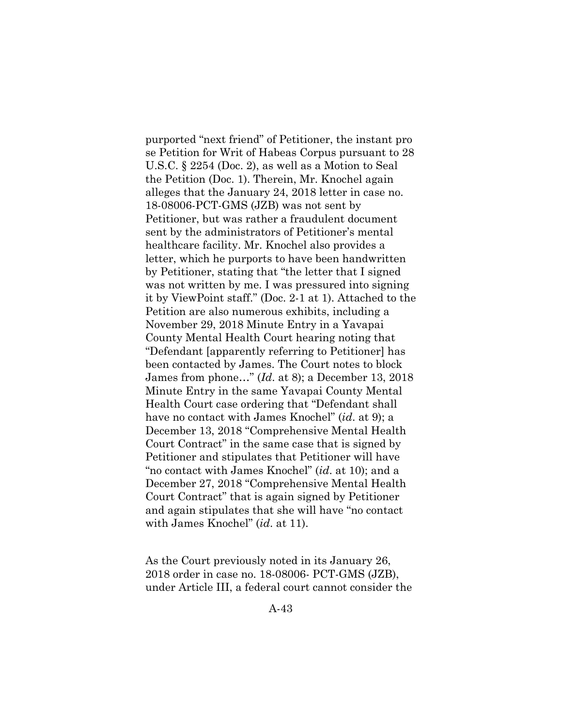purported "next friend" of Petitioner, the instant pro se Petition for Writ of Habeas Corpus pursuant to 28 U.S.C. § 2254 (Doc. 2), as well as a Motion to Seal the Petition (Doc. 1). Therein, Mr. Knochel again alleges that the January 24, 2018 letter in case no. 18-08006-PCT-GMS (JZB) was not sent by Petitioner, but was rather a fraudulent document sent by the administrators of Petitioner's mental healthcare facility. Mr. Knochel also provides a letter, which he purports to have been handwritten by Petitioner, stating that "the letter that I signed was not written by me. I was pressured into signing it by ViewPoint staff." (Doc. 2-1 at 1). Attached to the Petition are also numerous exhibits, including a November 29, 2018 Minute Entry in a Yavapai County Mental Health Court hearing noting that "Defendant [apparently referring to Petitioner] has been contacted by James. The Court notes to block James from phone…" (*Id*. at 8); a December 13, 2018 Minute Entry in the same Yavapai County Mental Health Court case ordering that "Defendant shall have no contact with James Knochel" (*id*. at 9); a December 13, 2018 "Comprehensive Mental Health Court Contract" in the same case that is signed by Petitioner and stipulates that Petitioner will have "no contact with James Knochel" (*id*. at 10); and a December 27, 2018 "Comprehensive Mental Health Court Contract" that is again signed by Petitioner and again stipulates that she will have "no contact with James Knochel" (*id*. at 11).

As the Court previously noted in its January 26, 2018 order in case no. 18-08006- PCT-GMS (JZB), under Article III, a federal court cannot consider the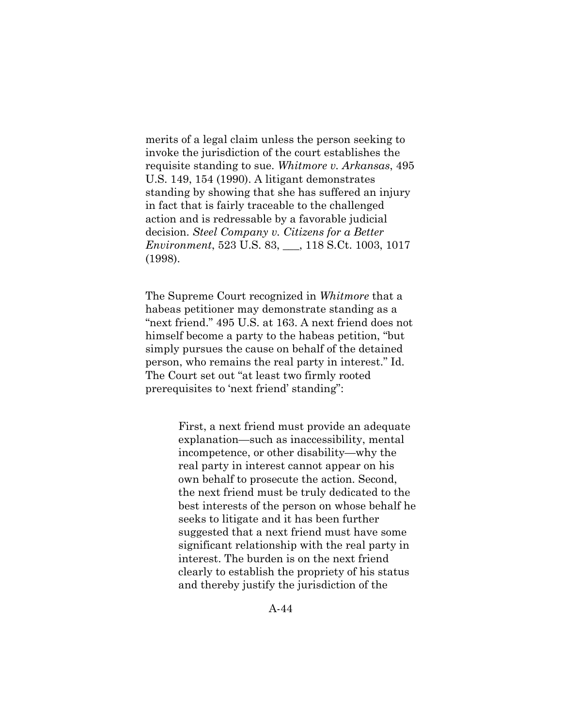merits of a legal claim unless the person seeking to invoke the jurisdiction of the court establishes the requisite standing to sue. *Whitmore v. Arkansas*, 495 U.S. 149, 154 (1990). A litigant demonstrates standing by showing that she has suffered an injury in fact that is fairly traceable to the challenged action and is redressable by a favorable judicial decision. *Steel Company v. Citizens for a Better Environment*, 523 U.S. 83, \_\_\_, 118 S.Ct. 1003, 1017 (1998).

The Supreme Court recognized in *Whitmore* that a habeas petitioner may demonstrate standing as a "next friend." 495 U.S. at 163. A next friend does not himself become a party to the habeas petition, "but simply pursues the cause on behalf of the detained person, who remains the real party in interest." Id. The Court set out "at least two firmly rooted prerequisites to 'next friend' standing":

> First, a next friend must provide an adequate explanation—such as inaccessibility, mental incompetence, or other disability—why the real party in interest cannot appear on his own behalf to prosecute the action. Second, the next friend must be truly dedicated to the best interests of the person on whose behalf he seeks to litigate and it has been further suggested that a next friend must have some significant relationship with the real party in interest. The burden is on the next friend clearly to establish the propriety of his status and thereby justify the jurisdiction of the

> > A-44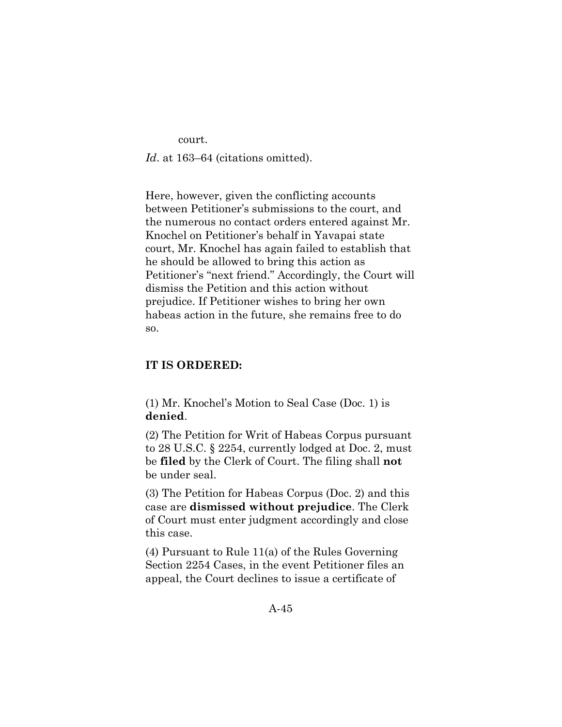court.

Id. at 163–64 (citations omitted).

Here, however, given the conflicting accounts between Petitioner's submissions to the court, and the numerous no contact orders entered against Mr. Knochel on Petitioner's behalf in Yavapai state court, Mr. Knochel has again failed to establish that he should be allowed to bring this action as Petitioner's "next friend." Accordingly, the Court will dismiss the Petition and this action without prejudice. If Petitioner wishes to bring her own habeas action in the future, she remains free to do so.

# **IT IS ORDERED:**

(1) Mr. Knochel's Motion to Seal Case (Doc. 1) is **denied**.

(2) The Petition for Writ of Habeas Corpus pursuant to 28 U.S.C. § 2254, currently lodged at Doc. 2, must be **filed** by the Clerk of Court. The filing shall **not** be under seal.

(3) The Petition for Habeas Corpus (Doc. 2) and this case are **dismissed without prejudice**. The Clerk of Court must enter judgment accordingly and close this case.

(4) Pursuant to Rule 11(a) of the Rules Governing Section 2254 Cases, in the event Petitioner files an appeal, the Court declines to issue a certificate of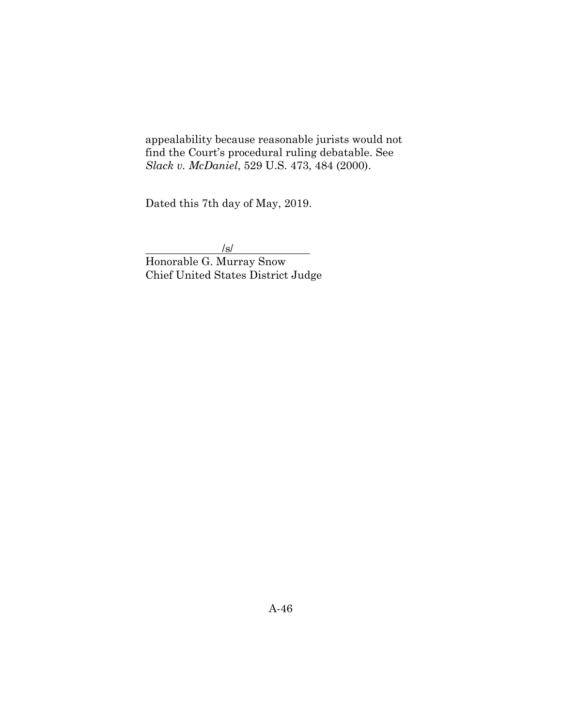appealability because reasonable jurists would not find the Court's procedural ruling debatable. See *Slack v. McDaniel*, 529 U.S. 473, 484 (2000).

Dated this 7th day of May, 2019.

 $\frac{|s|}{s}$ 

Honorable G. Murray Snow Chief United States District Judge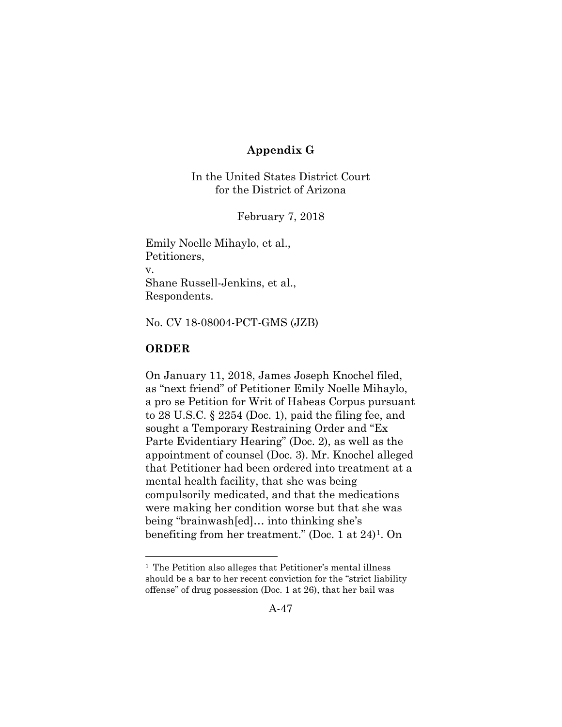# **Appendix G**

In the United States District Court for the District of Arizona

February 7, 2018

Emily Noelle Mihaylo, et al., Petitioners, v. Shane Russell-Jenkins, et al., Respondents.

No. CV 18-08004-PCT-GMS (JZB)

# **ORDER**

On January 11, 2018, James Joseph Knochel filed, as "next friend" of Petitioner Emily Noelle Mihaylo, a pro se Petition for Writ of Habeas Corpus pursuant to 28 U.S.C. § 2254 (Doc. 1), paid the filing fee, and sought a Temporary Restraining Order and "Ex Parte Evidentiary Hearing" (Doc. 2), as well as the appointment of counsel (Doc. 3). Mr. Knochel alleged that Petitioner had been ordered into treatment at a mental health facility, that she was being compulsorily medicated, and that the medications were making her condition worse but that she was being "brainwash[ed]… into thinking she's benefiting from her treatment." (Doc. 1 at 24)[1.](#page-70-0) On

<span id="page-70-0"></span><sup>&</sup>lt;sup>1</sup> The Petition also alleges that Petitioner's mental illness should be a bar to her recent conviction for the "strict liability offense" of drug possession (Doc. 1 at 26), that her bail was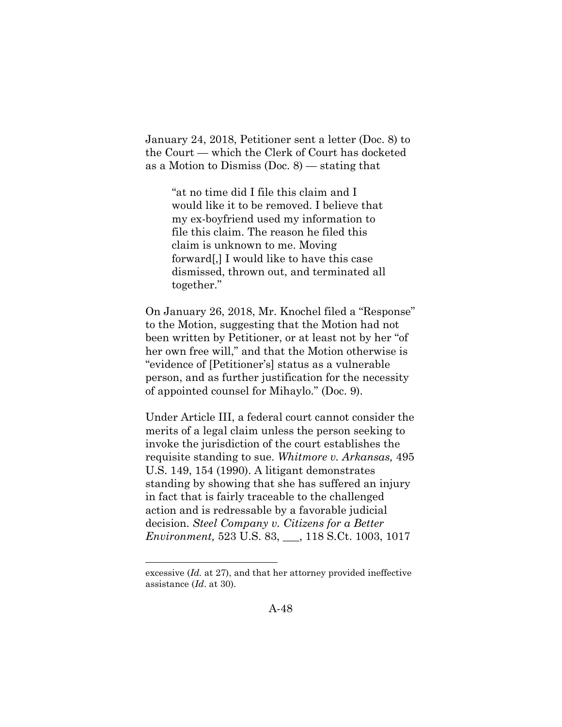January 24, 2018, Petitioner sent a letter (Doc. 8) to the Court — which the Clerk of Court has docketed as a Motion to Dismiss (Doc. 8) — stating that

> "at no time did I file this claim and I would like it to be removed. I believe that my ex-boyfriend used my information to file this claim. The reason he filed this claim is unknown to me. Moving forward[,] I would like to have this case dismissed, thrown out, and terminated all together."

On January 26, 2018, Mr. Knochel filed a "Response" to the Motion, suggesting that the Motion had not been written by Petitioner, or at least not by her "of her own free will," and that the Motion otherwise is "evidence of [Petitioner's] status as a vulnerable person, and as further justification for the necessity of appointed counsel for Mihaylo." (Doc. 9).

Under Article III, a federal court cannot consider the merits of a legal claim unless the person seeking to invoke the jurisdiction of the court establishes the requisite standing to sue. *Whitmore v. Arkansas,* 495 U.S. 149, 154 (1990). A litigant demonstrates standing by showing that she has suffered an injury in fact that is fairly traceable to the challenged action and is redressable by a favorable judicial decision. *Steel Company v. Citizens for a Better Environment,* 523 U.S. 83, \_\_\_, 118 S.Ct. 1003, 1017

excessive (*Id.* at 27), and that her attorney provided ineffective assistance (*Id*. at 30).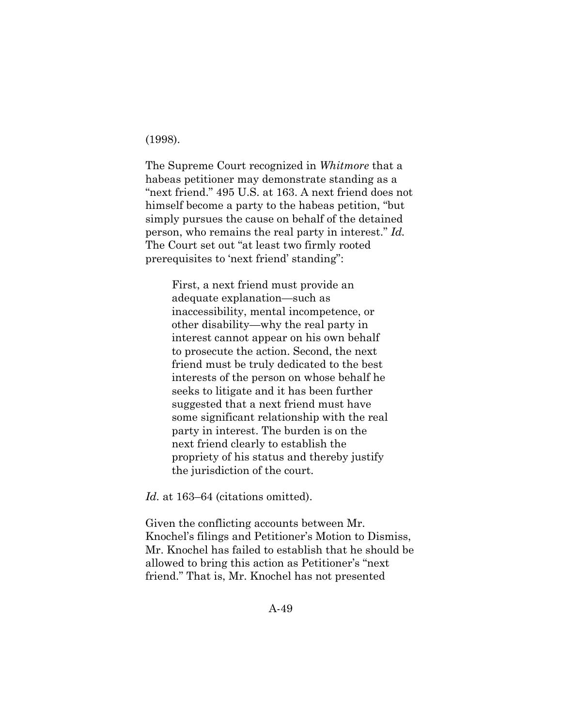(1998).

The Supreme Court recognized in *Whitmore* that a habeas petitioner may demonstrate standing as a "next friend." 495 U.S. at 163. A next friend does not himself become a party to the habeas petition, "but simply pursues the cause on behalf of the detained person, who remains the real party in interest." *Id.*  The Court set out "at least two firmly rooted prerequisites to 'next friend' standing":

First, a next friend must provide an adequate explanation—such as inaccessibility, mental incompetence, or other disability—why the real party in interest cannot appear on his own behalf to prosecute the action. Second, the next friend must be truly dedicated to the best interests of the person on whose behalf he seeks to litigate and it has been further suggested that a next friend must have some significant relationship with the real party in interest. The burden is on the next friend clearly to establish the propriety of his status and thereby justify the jurisdiction of the court.

Id. at 163–64 (citations omitted).

Given the conflicting accounts between Mr. Knochel's filings and Petitioner's Motion to Dismiss, Mr. Knochel has failed to establish that he should be allowed to bring this action as Petitioner's "next friend." That is, Mr. Knochel has not presented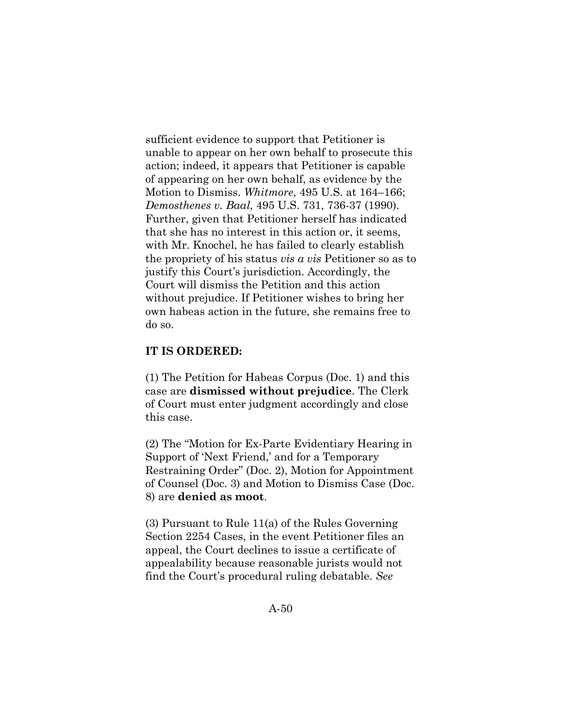sufficient evidence to support that Petitioner is unable to appear on her own behalf to prosecute this action; indeed, it appears that Petitioner is capable of appearing on her own behalf, as evidence by the Motion to Dismiss. *Whitmore,* 495 U.S. at 164–166; *Demosthenes v. Baal,* 495 U.S. 731, 736-37 (1990). Further, given that Petitioner herself has indicated that she has no interest in this action or, it seems, with Mr. Knochel, he has failed to clearly establish the propriety of his status *vis a vis* Petitioner so as to justify this Court's jurisdiction. Accordingly, the Court will dismiss the Petition and this action without prejudice. If Petitioner wishes to bring her own habeas action in the future, she remains free to do so.

## **IT IS ORDERED:**

(1) The Petition for Habeas Corpus (Doc. 1) and this case are **dismissed without prejudice**. The Clerk of Court must enter judgment accordingly and close this case.

(2) The "Motion for Ex-Parte Evidentiary Hearing in Support of 'Next Friend,' and for a Temporary Restraining Order" (Doc. 2), Motion for Appointment of Counsel (Doc. 3) and Motion to Dismiss Case (Doc. 8) are **denied as moot**.

(3) Pursuant to Rule 11(a) of the Rules Governing Section 2254 Cases, in the event Petitioner files an appeal, the Court declines to issue a certificate of appealability because reasonable jurists would not find the Court's procedural ruling debatable. *See*

A-50